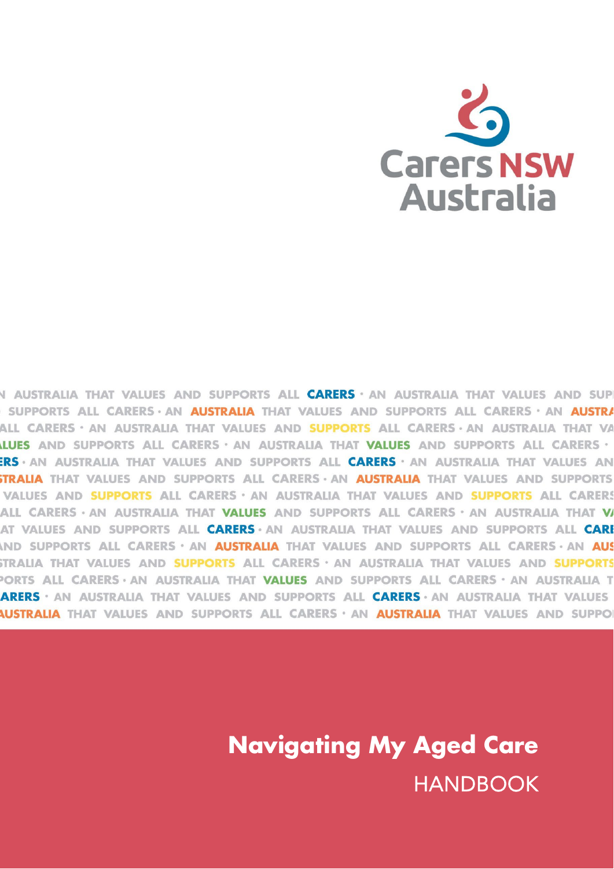

N AUSTRALIA THAT VALUES AND SUPPORTS ALL **CARERS** · AN AUSTRALIA THAT VALUES AND SUP SUPPORTS ALL CARERS · AN AUSTRALIA THAT VALUES AND SUPPORTS ALL CARERS · AN AUSTRA ALL CARERS · AN AUSTRALIA THAT VALUES AND **SUPPORTS** ALL CARERS · AN AUSTRALIA THAT VA LUES AND SUPPORTS ALL CARERS · AN AUSTRALIA THAT VALUES AND SUPPORTS ALL CARERS · ERS · AN AUSTRALIA THAT VALUES AND SUPPORTS ALL CARERS · AN AUSTRALIA THAT VALUES AN **STRALIA** THAT VALUES AND SUPPORTS ALL CARERS · AN **AUSTRALIA** THAT VALUES AND SUPPORTS VALUES AND SUPPORTS ALL CARERS · AN AUSTRALIA THAT VALUES AND SUPPORTS ALL CARERS ALL CARERS · AN AUSTRALIA THAT VALUES AND SUPPORTS ALL CARERS · AN AUSTRALIA THAT V AT VALUES AND SUPPORTS ALL CARERS · AN AUSTRALIA THAT VALUES AND SUPPORTS ALL CAR IND SUPPORTS ALL CARERS · AN AUSTRALIA THAT VALUES AND SUPPORTS ALL CARERS · AN AUS STRALIA THAT VALUES AND SUPPORTS ALL CARERS · AN AUSTRALIA THAT VALUES AND SUPPORTS PORTS ALL CARERS · AN AUSTRALIA THAT VALUES AND SUPPORTS ALL CARERS · AN AUSTRALIA T **ARERS · AN AUSTRALIA THAT VALUES AND SUPPORTS ALL CARERS · AN AUSTRALIA THAT VALUES Australia** that values and supports all carers  $\cdot$  an **australia** that values and suppo

> **Navigating My Aged Care** HANDBOOK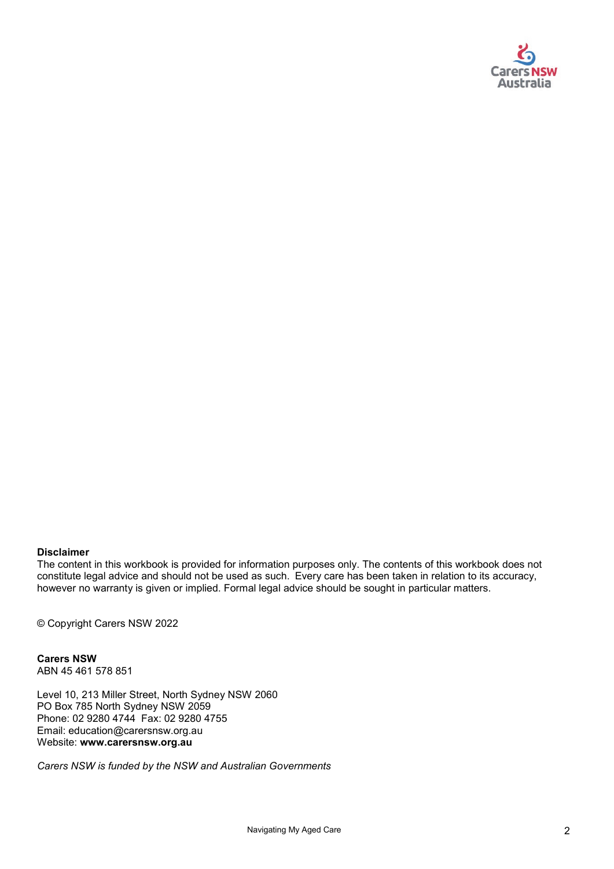

#### **Disclaimer**

The content in this workbook is provided for information purposes only. The contents of this workbook does not constitute legal advice and should not be used as such. Every care has been taken in relation to its accuracy, however no warranty is given or implied. Formal legal advice should be sought in particular matters.

© Copyright Carers NSW 2022

**Carers NSW**  ABN 45 461 578 851

Level 10, 213 Miller Street, North Sydney NSW 2060 PO Box 785 North Sydney NSW 2059 Phone: 02 9280 4744 Fax: 02 9280 4755 Email: education@carersnsw.org.au Website: **www.carersnsw.org.au**

*Carers NSW is funded by the NSW and Australian Governments*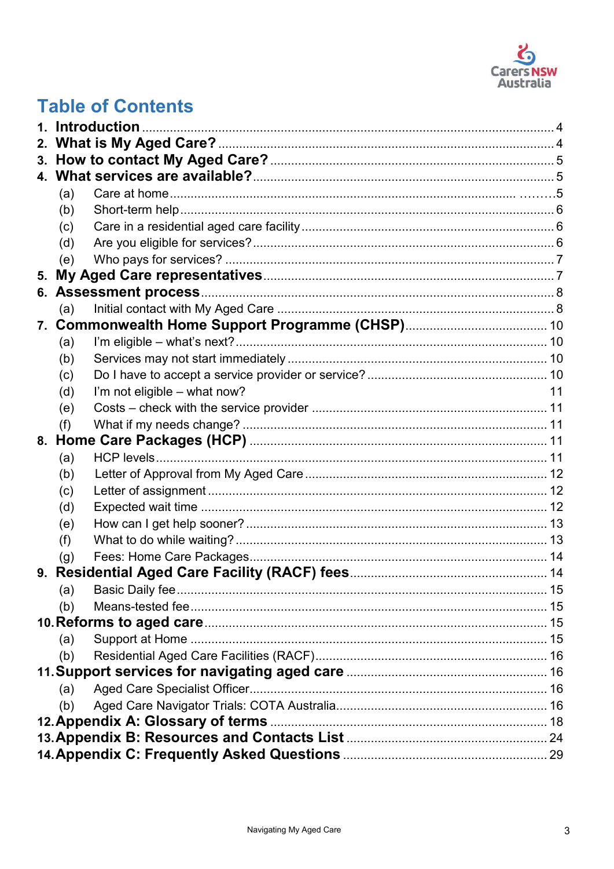

# **Table of Contents**

<span id="page-2-0"></span>

|    |     | 1. Introduction              |    |
|----|-----|------------------------------|----|
|    |     |                              |    |
|    |     |                              |    |
|    |     |                              |    |
|    | (a) |                              |    |
|    | (b) |                              |    |
|    | (c) |                              |    |
|    | (d) |                              |    |
|    | (e) |                              |    |
| 5. |     |                              |    |
|    |     |                              |    |
|    | (a) |                              |    |
|    |     |                              |    |
|    | (a) |                              |    |
|    | (b) |                              |    |
|    | (c) |                              |    |
|    | (d) | I'm not eligible - what now? | 11 |
|    | (e) |                              |    |
|    | (f) |                              |    |
|    |     |                              |    |
|    | (a) |                              |    |
|    | (b) |                              |    |
|    | (c) |                              |    |
|    | (d) |                              |    |
|    | (e) |                              |    |
|    | (f) |                              |    |
|    | (g) |                              |    |
|    |     |                              |    |
|    | (a) |                              |    |
|    | (b) |                              |    |
|    |     |                              |    |
|    | (a) |                              |    |
|    | (b) |                              |    |
|    |     |                              |    |
|    | (a) |                              |    |
|    | (b) |                              |    |
|    |     |                              |    |
|    |     |                              |    |
|    |     |                              |    |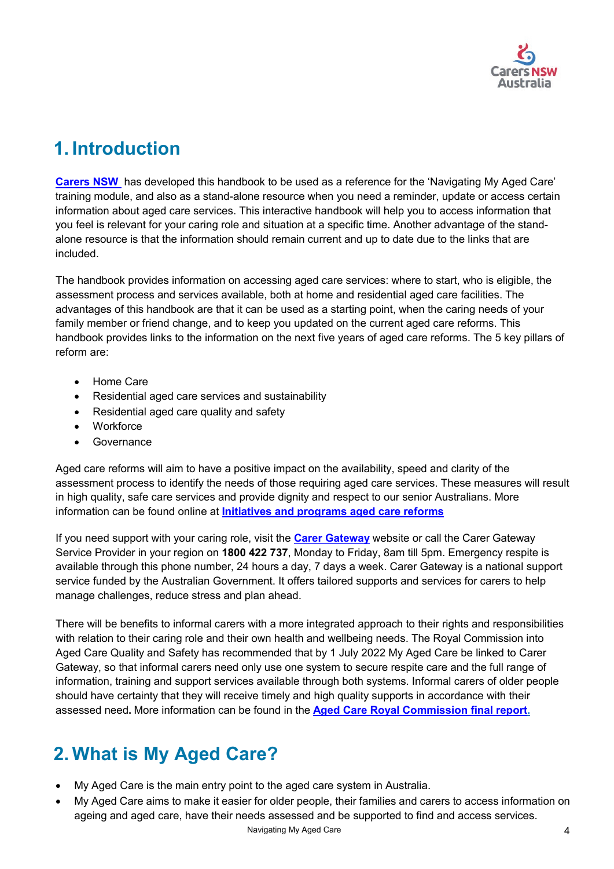

# **1. Introduction**

**[Carers NSW](http://www.carersnsw.org.au/)** has developed this handbook to be used as a reference for the 'Navigating My Aged Care' training module, and also as a stand-alone resource when you need a reminder, update or access certain information about aged care services. This interactive handbook will help you to access information that you feel is relevant for your caring role and situation at a specific time. Another advantage of the standalone resource is that the information should remain current and up to date due to the links that are included.

The handbook provides information on accessing aged care services: where to start, who is eligible, the assessment process and services available, both at home and residential aged care facilities. The advantages of this handbook are that it can be used as a starting point, when the caring needs of your family member or friend change, and to keep you updated on the current aged care reforms. This handbook provides links to the information on the next five years of aged care reforms. The 5 key pillars of reform are:

- Home Care
- Residential aged care services and sustainability
- Residential aged care quality and safety
- Workforce
- Governance

Aged care reforms will aim to have a positive impact on the availability, speed and clarity of the assessment process to identify the needs of those requiring aged care services. These measures will result in high quality, safe care services and provide dignity and respect to our senior Australians. More information can be found online at **[Initiatives and programs aged care reforms](https://www.health.gov.au/initiatives-and-programs/aged-care-reforms)**

If you need support with your caring role, visit the **[Carer Gateway](https://www.carergateway.gov.au/help-advice/getting-help)** website or call the Carer Gateway Service Provider in your region on **1800 422 737**, Monday to Friday, 8am till 5pm. Emergency respite is available through this phone number, 24 hours a day, 7 days a week. Carer Gateway is a national support service funded by the Australian Government. It offers tailored supports and services for carers to help manage challenges, reduce stress and plan ahead.

There will be benefits to informal carers with a more integrated approach to their rights and responsibilities with relation to their caring role and their own health and wellbeing needs. The Royal Commission into Aged Care Quality and Safety has recommended that by 1 July 2022 My Aged Care be linked to Carer Gateway, so that informal carers need only use one system to secure respite care and the full range of information, training and support services available through both systems. Informal carers of older people should have certainty that they will receive timely and high quality supports in accordance with their assessed need**.** More information can be found in the **[Aged Care Royal Commission final report.](https://agedcare.royalcommission.gov.au/sites/default/files/2021-03/final-report-recommendations.pdf)**

# <span id="page-3-0"></span>**2. What is My Aged Care?**

- My Aged Care is the main entry point to the aged care system in Australia.
- Navigating My Aged Care 4 • My Aged Care aims to make it easier for older people, their families and carers to access information on ageing and aged care, have their needs assessed and be supported to find and access services.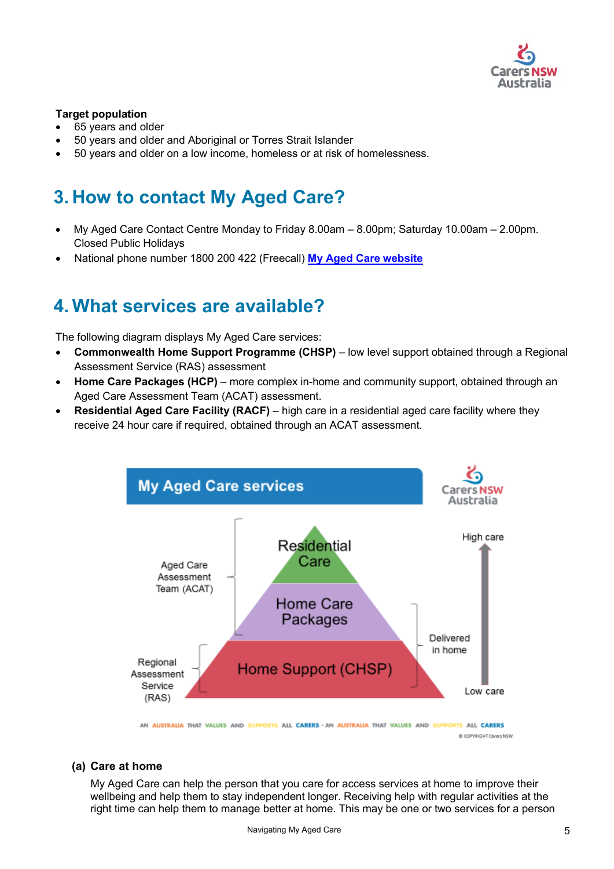

#### **Target population**

- 65 years and older
- 50 years and older and Aboriginal or Torres Strait Islander
- 50 years and older on a low income, homeless or at risk of homelessness.

# <span id="page-4-0"></span>**3. How to contact My Aged Care?**

- My Aged Care Contact Centre Monday to Friday 8.00am 8.00pm; Saturday 10.00am 2.00pm. Closed Public Holidays
- National phone number 1800 200 422 (Freecall) **[My Aged Care website](http://www.myagedcare.gov.au/)**

# <span id="page-4-1"></span>**4. What services are available?**

The following diagram displays My Aged Care services:

- **Commonwealth Home Support Programme (CHSP)** low level support obtained through a Regional Assessment Service (RAS) assessment
- **Home Care Packages (HCP)** more complex in-home and community support, obtained through an Aged Care Assessment Team (ACAT) assessment.
- **Residential Aged Care Facility (RACF)** high care in a residential aged care facility where they receive 24 hour care if required, obtained through an ACAT assessment.



AN AUSTRALIA THAT VALUES AND SUPPORTS ALL CARERS - AN AUSTRALIA THAT VALUES AND SUPPORTS ALL CARERS @ COPYRIGHT CarersNSW

#### <span id="page-4-2"></span>**(a) Care at home**

My Aged Care can help the person that you care for access services at home to improve their wellbeing and help them to stay independent longer. Receiving help with regular activities at the right time can help them to manage better at home. This may be one or two services for a person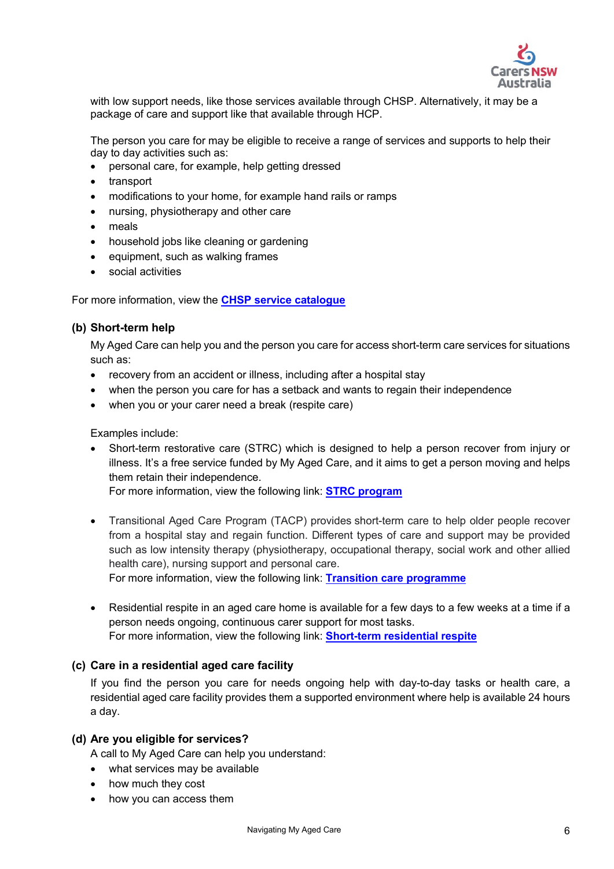

with low support needs, like those services available through CHSP. Alternatively, it may be a package of care and support like that available through HCP.

The person you care for may be eligible to receive a range of services and supports to help their day to day activities such as:

- personal care, for example, help getting dressed
- transport
- modifications to your home, for example hand rails or ramps
- nursing, physiotherapy and other care
- meals
- household jobs like cleaning or gardening
- equipment, such as walking frames
- social activities

For more information, view the **[CHSP service catalogue](https://www.health.gov.au/resources/publications/commonwealth-home-support-programme-chsp-service-catalogue)** 

#### <span id="page-5-0"></span>**(b) Short-term help**

My Aged Care can help you and the person you care for access short-term care services for situations such as:

- recovery from an accident or illness, including after a hospital stay
- when the person you care for has a setback and wants to regain their independence
- when you or your carer need a break (respite care)

Examples include:

• Short-term restorative care (STRC) which is designed to help a person recover from injury or illness. It's a free service funded by My Aged Care, and it aims to get a person moving and helps them retain their independence.

For more information, view the following link: **[STRC program](https://www.health.gov.au/initiatives-and-programs/short-term-restorative-care-strc-programme)**

• Transitional Aged Care Program (TACP) provides short-term care to help older people recover from a hospital stay and regain function. Different types of care and support may be provided such as low intensity therapy (physiotherapy, occupational therapy, social work and other allied health care), nursing support and personal care.

For more information, view the following link: **[Transition care programme](https://www.health.gov.au/initiatives-and-programs/transition-care-programme)**

• Residential respite in an aged care home is available for a few days to a few weeks at a time if a person needs ongoing, continuous carer support for most tasks. For more information, view the following link: **[Short-term residential respite](https://www.myagedcare.gov.au/short-term-care/respite-care)**

#### <span id="page-5-1"></span>**(c) Care in a residential aged care facility**

If you find the person you care for needs ongoing help with day-to-day tasks or health care, a residential aged care facility provides them a supported environment where help is available 24 hours a day.

#### <span id="page-5-2"></span>**(d) Are you eligible for services?**

A call to My Aged Care can help you understand:

- what services may be available
- how much they cost
- how you can access them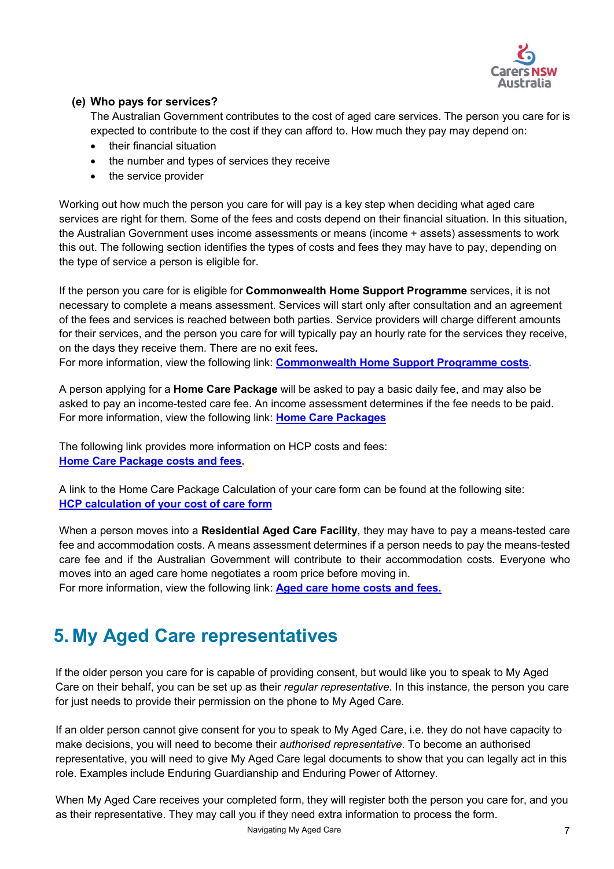

### <span id="page-6-0"></span>**(e) Who pays for services?**

The Australian Government contributes to the cost of aged care services. The person you care for is expected to contribute to the cost if they can afford to. How much they pay may depend on:

- their financial situation
- the number and types of services they receive
- the service provider

Working out how much the person you care for will pay is a key step when deciding what aged care services are right for them. Some of the fees and costs depend on their financial situation. In this situation, the Australian Government uses income assessments or means (income + assets) assessments to work this out. The following section identifies the types of costs and fees they may have to pay, depending on the type of service a person is eligible for.

If the person you care for is eligible for **Commonwealth Home Support Programme** services, it is not necessary to complete a means assessment. Services will start only after consultation and an agreement of the fees and services is reached between both parties. Service providers will charge different amounts for their services, and the person you care for will typically pay an hourly rate for the services they receive, on the days they receive them. There are no exit fees**.** 

For more information, view the following link: **[Commonwealth Home Support Programme](https://www.myagedcare.gov.au/commonwealth-home-support-programme-costs) costs.** 

A person applying for a **Home Care Package** will be asked to pay a basic daily fee, and may also be asked to pay an income-tested care fee. An income assessment determines if the fee needs to be paid. For more information, view the following link: **[Home Care Packages](https://www.myagedcare.gov.au/help-at-home/home-care-packages)**

The following link provides more information on HCP costs and fees: **[Home Care Package costs and fees.](https://www.myagedcare.gov.au/home-care-package-costs-and-fees)** 

A link to the Home Care Package Calculation of your care form can be found at the following site: **[HCP calculation of your cost of care form](https://www.servicesaustralia.gov.au/sa456)** 

When a person moves into a **Residential Aged Care Facility**, they may have to pay a means-tested care fee and accommodation costs. A means assessment determines if a person needs to pay the means-tested care fee and if the Australian Government will contribute to their accommodation costs. Everyone who moves into an aged care home negotiates a room price before moving in.

For more information, view the following link: **[Aged care home costs and fees.](https://www.myagedcare.gov.au/aged-care-home-costs-and-fees)** 

# <span id="page-6-1"></span>**5. My Aged Care representatives**

If the older person you care for is capable of providing consent, but would like you to speak to My Aged Care on their behalf, you can be set up as their *regular representative.* In this instance, the person you care for just needs to provide their permission on the phone to My Aged Care.

If an older person cannot give consent for you to speak to My Aged Care, i.e. they do not have capacity to make decisions, you will need to become their *authorised representative*. To become an authorised representative, you will need to give My Aged Care legal documents to show that you can legally act in this role. Examples include Enduring Guardianship and Enduring Power of Attorney.

When My Aged Care receives your completed form, they will register both the person you care for, and you as their representative. They may call you if they need extra information to process the form.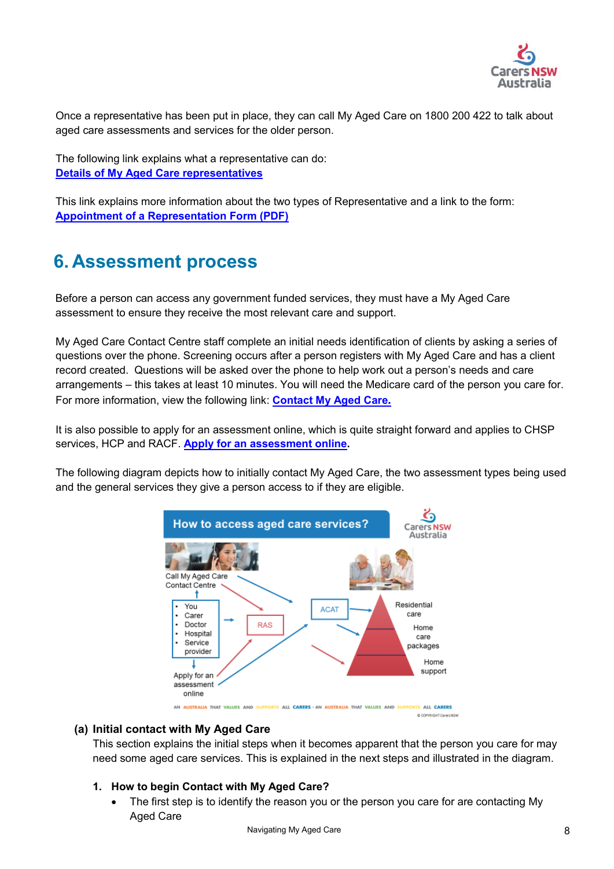

Once a representative has been put in place, they can call My Aged Care on 1800 200 422 to talk about aged care assessments and services for the older person.

The following link explains what a representative can do: **[Details of My Aged Care representatives](https://www.myagedcare.gov.au/my-aged-care-representatives)**

This link explains more information about the two types of Representative and a link to the form: **[Appointment of a Representation Form \(PDF\)](https://www.myagedcare.gov.au/publications/appointment-representative-form)** 

# <span id="page-7-0"></span>**6. Assessment process**

Before a person can access any government funded services, they must have a My Aged Care assessment to ensure they receive the most relevant care and support.

My Aged Care Contact Centre staff complete an initial needs identification of clients by asking a series of questions over the phone. Screening occurs after a person registers with My Aged Care and has a client record created. Questions will be asked over the phone to help work out a person's needs and care arrangements – this takes at least 10 minutes. You will need the Medicare card of the person you care for. For more information, view the following link: **[Contact My Aged Care](https://www.myagedcare.gov.au/contact-us).**

It is also possible to apply for an assessment online, which is quite straight forward and applies to CHSP services, HCP and RACF. **[Apply for an assessment](https://www.myagedcare.gov.au/assessment/apply-online) online.**

The following diagram depicts how to initially contact My Aged Care, the two assessment types being used and the general services they give a person access to if they are eligible.



### <span id="page-7-1"></span>**(a) Initial contact with My Aged Care**

This section explains the initial steps when it becomes apparent that the person you care for may need some aged care services. This is explained in the next steps and illustrated in the diagram.

#### **1. How to begin Contact with My Aged Care?**

The first step is to identify the reason you or the person you care for are contacting My Aged Care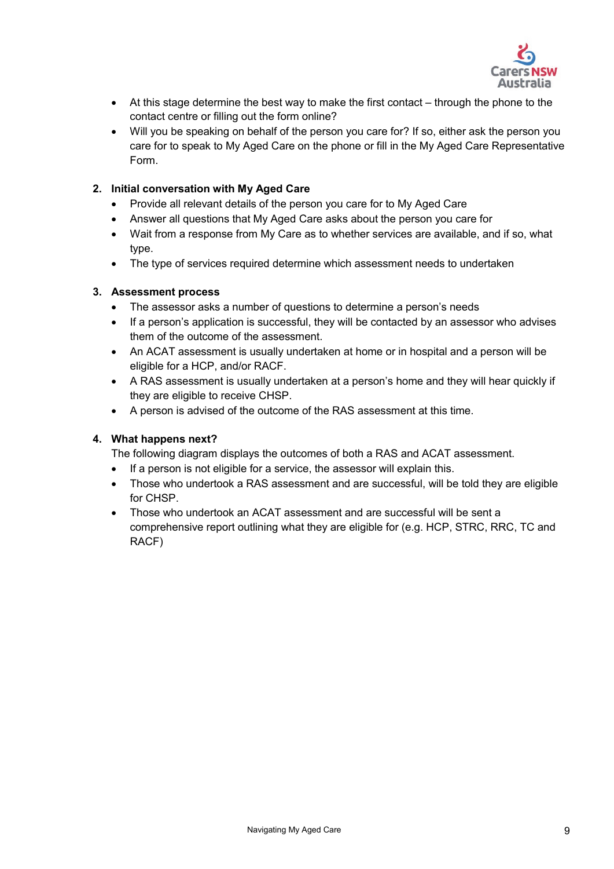

- At this stage determine the best way to make the first contact through the phone to the contact centre or filling out the form online?
- Will you be speaking on behalf of the person you care for? If so, either ask the person you care for to speak to My Aged Care on the phone or fill in the My Aged Care Representative Form.

### **2. Initial conversation with My Aged Care**

- Provide all relevant details of the person you care for to My Aged Care
- Answer all questions that My Aged Care asks about the person you care for
- Wait from a response from My Care as to whether services are available, and if so, what type.
- The type of services required determine which assessment needs to undertaken

### **3. Assessment process**

- The assessor asks a number of questions to determine a person's needs
- If a person's application is successful, they will be contacted by an assessor who advises them of the outcome of the assessment.
- An ACAT assessment is usually undertaken at home or in hospital and a person will be eligible for a HCP, and/or RACF.
- A RAS assessment is usually undertaken at a person's home and they will hear quickly if they are eligible to receive CHSP.
- A person is advised of the outcome of the RAS assessment at this time.

### **4. What happens next?**

The following diagram displays the outcomes of both a RAS and ACAT assessment.

- If a person is not eligible for a service, the assessor will explain this.
- Those who undertook a RAS assessment and are successful, will be told they are eligible for CHSP.
- Those who undertook an ACAT assessment and are successful will be sent a comprehensive report outlining what they are eligible for (e.g. HCP, STRC, RRC, TC and RACF)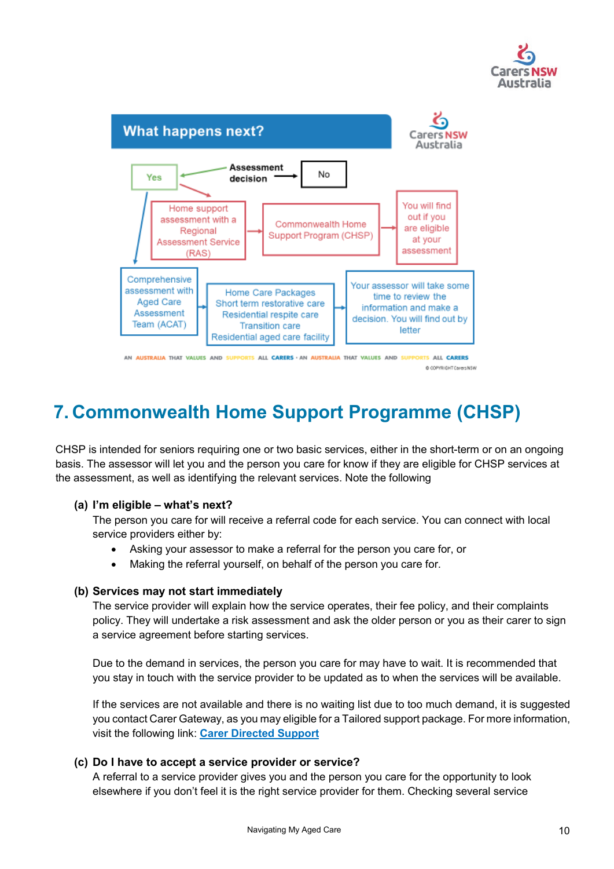



AN AUSTRALIA THAT VALUES AND SUPPORTS ALL CARERS - AN AUSTRALIA THAT VALUES AND SUPPORTS ALL CARERS @ COPYRIGHT Carers NSW

# <span id="page-9-0"></span>**7. Commonwealth Home Support Programme (CHSP)**

CHSP is intended for seniors requiring one or two basic services, either in the short-term or on an ongoing basis. The assessor will let you and the person you care for know if they are eligible for CHSP services at the assessment, as well as identifying the relevant services. Note the following

### <span id="page-9-1"></span>**(a) I'm eligible – what's next?**

The person you care for will receive a referral code for each service. You can connect with local service providers either by:

- Asking your assessor to make a referral for the person you care for, or
- Making the referral yourself, on behalf of the person you care for.

#### <span id="page-9-2"></span>**(b) Services may not start immediately**

The service provider will explain how the service operates, their fee policy, and their complaints policy. They will undertake a risk assessment and ask the older person or you as their carer to sign a service agreement before starting services.

Due to the demand in services, the person you care for may have to wait. It is recommended that you stay in touch with the service provider to be updated as to when the services will be available.

If the services are not available and there is no waiting list due to too much demand, it is suggested you contact Carer Gateway, as you may eligible for a Tailored support package. For more information, visit the following link: **[Carer Directed Support](https://www.carergateway.gov.au/financial-help/carer-directed-support-service)**

#### <span id="page-9-3"></span>**(c) Do I have to accept a service provider or service?**

A referral to a service provider gives you and the person you care for the opportunity to look elsewhere if you don't feel it is the right service provider for them. Checking several service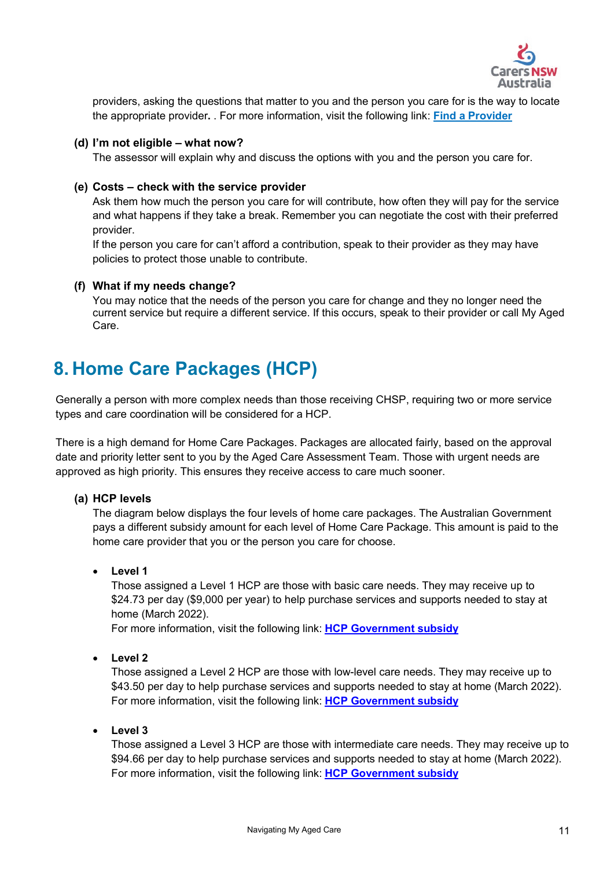

providers, asking the questions that matter to you and the person you care for is the way to locate the appropriate provider**.** . For more information, visit the following link: **[Find a Provider](https://www.myagedcare.gov.au/find-a-provider/)**

#### <span id="page-10-0"></span>**(d) I'm not eligible – what now?**

The assessor will explain why and discuss the options with you and the person you care for.

#### <span id="page-10-1"></span>**(e) Costs – check with the service provider**

Ask them how much the person you care for will contribute, how often they will pay for the service and what happens if they take a break. Remember you can negotiate the cost with their preferred provider.

If the person you care for can't afford a contribution, speak to their provider as they may have policies to protect those unable to contribute.

#### <span id="page-10-2"></span>**(f) What if my needs change?**

You may notice that the needs of the person you care for change and they no longer need the current service but require a different service. If this occurs, speak to their provider or call My Aged Care.

# <span id="page-10-3"></span>**8. Home Care Packages (HCP)**

Generally a person with more complex needs than those receiving CHSP, requiring two or more service types and care coordination will be considered for a HCP.

There is a high demand for Home Care Packages. Packages are allocated fairly, based on the approval date and priority letter sent to you by the Aged Care Assessment Team. Those with urgent needs are approved as high priority. This ensures they receive access to care much sooner.

### <span id="page-10-4"></span>**(a) HCP levels**

The diagram below displays the four levels of home care packages. The Australian Government pays a different subsidy amount for each level of Home Care Package. This amount is paid to the home care provider that you or the person you care for choose.

• **Level 1**

Those assigned a Level 1 HCP are those with basic care needs. They may receive up to \$24.73 per day (\$9,000 per year) to help purchase services and supports needed to stay at home (March 2022).

For more information, visit the following link: **[HCP Government subsidy](https://www.health.gov.au/resources/publications/schedule-of-subsidies-and-supplements-for-aged-care)** 

• **Level 2**

Those assigned a Level 2 HCP are those with low-level care needs. They may receive up to \$43.50 per day to help purchase services and supports needed to stay at home (March 2022). For more information, visit the following link: **[HCP Government subsidy](https://www.health.gov.au/resources/publications/schedule-of-subsidies-and-supplements-for-aged-care)** 

• **Level 3**

Those assigned a Level 3 HCP are those with intermediate care needs. They may receive up to \$94.66 per day to help purchase services and supports needed to stay at home (March 2022). For more information, visit the following link: **[HCP Government subsidy](https://www.health.gov.au/resources/publications/schedule-of-subsidies-and-supplements-for-aged-care)**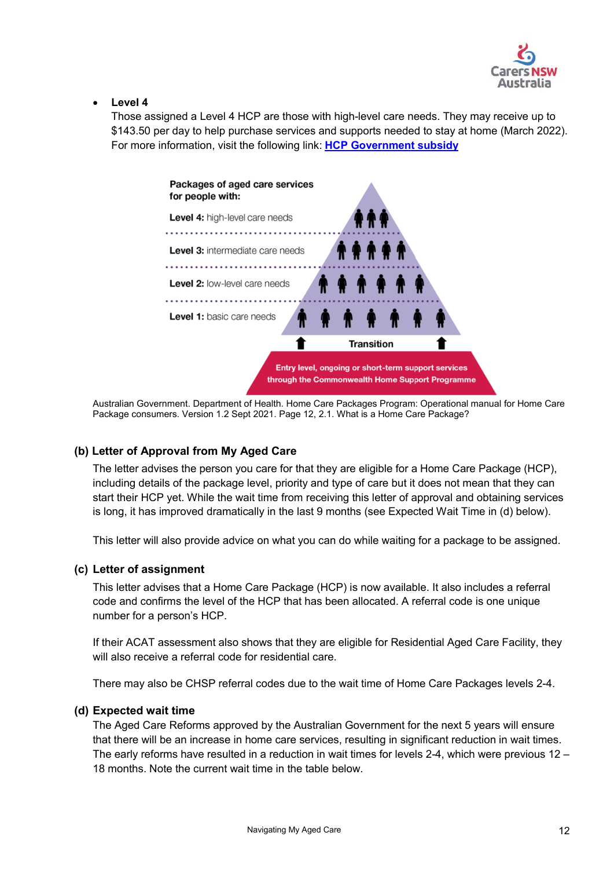

#### • **Level 4**

Those assigned a Level 4 HCP are those with high-level care needs. They may receive up to \$143.50 per day to help purchase services and supports needed to stay at home (March 2022). For more information, visit the following link: **[HCP Government subsidy](https://www.health.gov.au/resources/publications/schedule-of-subsidies-and-supplements-for-aged-care)** 



Australian Government. Department of Health. Home Care Packages Program: Operational manual for Home Care Package consumers. Version 1.2 Sept 2021. Page 12, 2.1. What is a Home Care Package?

### <span id="page-11-0"></span>**(b) Letter of Approval from My Aged Care**

The letter advises the person you care for that they are eligible for a Home Care Package (HCP), including details of the package level, priority and type of care but it does not mean that they can start their HCP yet. While the wait time from receiving this letter of approval and obtaining services is long, it has improved dramatically in the last 9 months (see Expected Wait Time in (d) below).

This letter will also provide advice on what you can do while waiting for a package to be assigned.

#### <span id="page-11-1"></span>**(c) Letter of assignment**

This letter advises that a Home Care Package (HCP) is now available. It also includes a referral code and confirms the level of the HCP that has been allocated. A referral code is one unique number for a person's HCP.

If their ACAT assessment also shows that they are eligible for Residential Aged Care Facility, they will also receive a referral code for residential care.

There may also be CHSP referral codes due to the wait time of Home Care Packages levels 2-4.

#### <span id="page-11-2"></span>**(d) Expected wait time**

The Aged Care Reforms approved by the Australian Government for the next 5 years will ensure that there will be an increase in home care services, resulting in significant reduction in wait times. The early reforms have resulted in a reduction in wait times for levels 2-4, which were previous 12 – 18 months. Note the current wait time in the table below.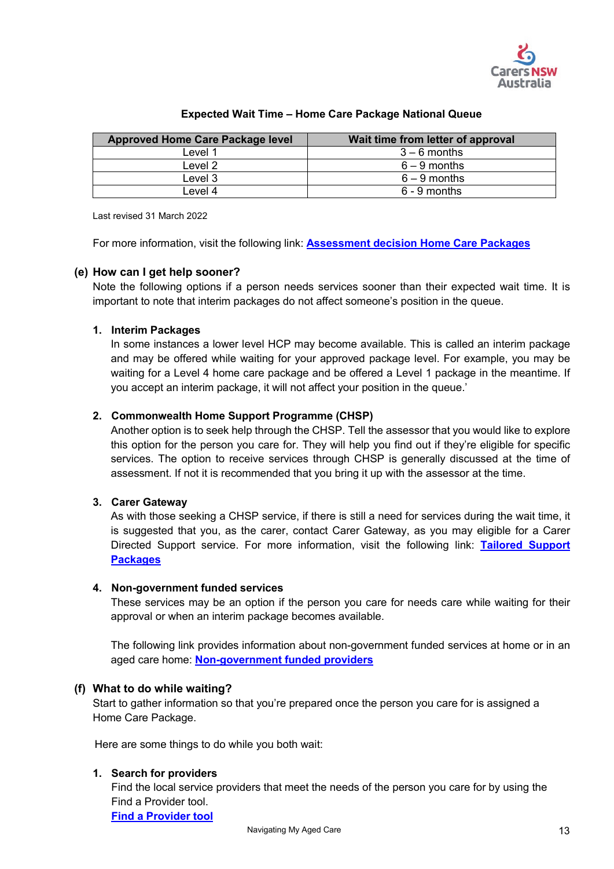

| <b>Approved Home Care Package level</b> | Wait time from letter of approval |
|-----------------------------------------|-----------------------------------|
| Level 1                                 | $3-6$ months                      |
| Level 2                                 | $6 - 9$ months                    |
| Level 3                                 | $6 - 9$ months                    |
| ⊥evel 4                                 | $6 - 9$ months                    |

#### **Expected Wait Time – Home Care Package National Queue**

Last revised 31 March 2022

For more information, visit the following link: **[Assessment decision Home Care Packages](https://myagedcare.gov.au/assessment-decision-home-care-packages)**

#### <span id="page-12-0"></span>**(e) How can I get help sooner?**

Note the following options if a person needs services sooner than their expected wait time. It is important to note that interim packages do not affect someone's position in the queue.

#### **1. Interim Packages**

In some instances a lower level HCP may become available. This is called an interim package and may be offered while waiting for your approved package level. For example, you may be waiting for a Level 4 home care package and be offered a Level 1 package in the meantime. If you accept an interim package, it will not affect your position in the queue.'

#### **2. Commonwealth Home Support Programme (CHSP)**

Another option is to seek help through the CHSP. Tell the assessor that you would like to explore this option for the person you care for. They will help you find out if they're eligible for specific services. The option to receive services through CHSP is generally discussed at the time of assessment. If not it is recommended that you bring it up with the assessor at the time.

#### **3. Carer Gateway**

As with those seeking a CHSP service, if there is still a need for services during the wait time, it is suggested that you, as the carer, contact Carer Gateway, as you may eligible for a Carer Directed Support service. For more information, visit the following link: **[Tailored](https://www.carergateway.gov.au/financial-help/carer-directed-support-service) Support Packages**

#### **4. Non-government funded services**

These services may be an option if the person you care for needs care while waiting for their approval or when an interim package becomes available.

The following link provides information about non-government funded services at home or in an aged care home: **[Non-government funded providers](https://www.myagedcare.gov.au/non-government-funded-providers)** 

#### <span id="page-12-1"></span>**(f) What to do while waiting?**

Start to gather information so that you're prepared once the person you care for is assigned a Home Care Package.

Here are some things to do while you both wait:

#### **1. Search for providers**

Find the local service providers that meet the needs of the person you care for by using the Find a Provider tool.

**[Find a Provider tool](https://www.myagedcare.gov.au/find-a-provider)**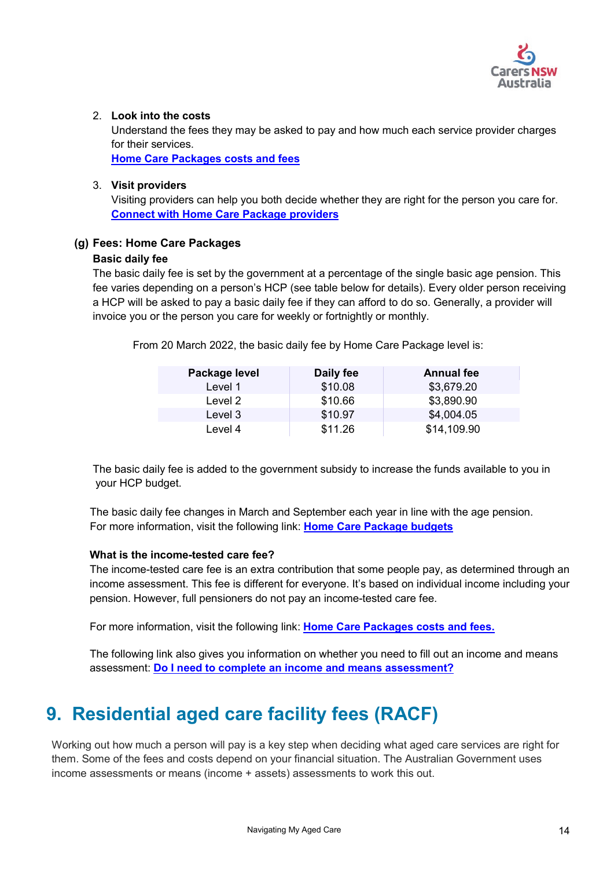

#### 2. **Look into the costs**

Understand the fees they may be asked to pay and how much each service provider charges for their services.

**[Home Care Packages costs and fees](https://www.myagedcare.gov.au/home-care-package-costs-and-fees)**

#### 3. **Visit providers**

Visiting providers can help you both decide whether they are right for the person you care for. **[Connect with Home Care Package providers](https://www.myagedcare.gov.au/connect-home-care-package-providers)**

#### <span id="page-13-0"></span>**(g) Fees: Home Care Packages**

#### **Basic daily fee**

The basic daily fee is set by the government at a percentage of the single basic age pension. This fee varies depending on a person's HCP (see table below for details). Every older person receiving a HCP will be asked to pay a basic daily fee if they can afford to do so. Generally, a provider will invoice you or the person you care for weekly or fortnightly or monthly.

From 20 March 2022, the basic daily fee by Home Care Package level is:

| Package level | Daily fee | <b>Annual fee</b> |
|---------------|-----------|-------------------|
| Level 1       | \$10.08   | \$3,679.20        |
| Level 2       | \$10.66   | \$3,890.90        |
| Level 3       | \$10.97   | \$4,004.05        |
| Level 4       | \$11.26   | \$14,109.90       |

The basic daily fee is added to the government subsidy to increase the funds available to you in your HCP budget.

 The basic daily fee changes in March and September each year in line with the age pension. For more information, visit the following link: **[Home Care Package budgets](https://www.myagedcare.gov.au/agreeing-home-care-package)**

#### **What is the income-tested care fee?**

The income-tested care fee is an extra contribution that some people pay, as determined through an income assessment. This fee is different for everyone. It's based on individual income including your pension. However, full pensioners do not pay an income-tested care fee.

For more information, visit the following link: **[Home Care Packages costs and fees.](https://www.myagedcare.gov.au/home-care-package-costs-and-fees)**

The following link also gives you information on whether you need to fill out an income and means assessment: **[Do I need to complete an income and means assessment?](https://www.myagedcare.gov.au/income-and-means-assessments/)**

# <span id="page-13-1"></span>**9. Residential aged care facility fees (RACF)**

Working out how much a person will pay is a key step when deciding what aged care services are right for them. Some of the fees and costs depend on your financial situation. The Australian Government uses income assessments or means (income + assets) assessments to work this out.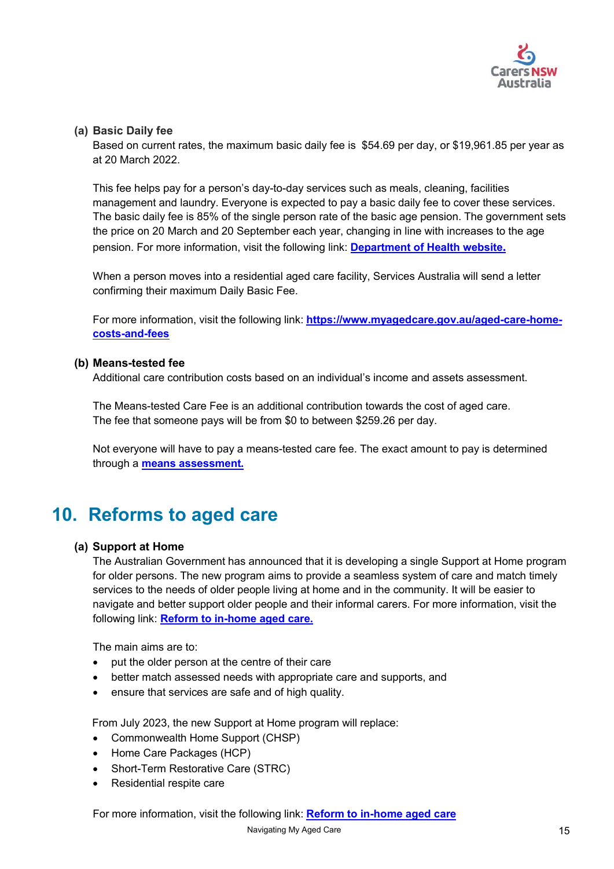

#### <span id="page-14-0"></span>**(a) Basic Daily fee**

Based on current rates, the maximum basic daily fee is \$54.69 per day, or \$19,961.85 per year as at 20 March 2022.

This fee helps pay for a person's day-to-day services such as meals, cleaning, facilities management and laundry. Everyone is expected to pay a basic daily fee to cover these services. The basic daily fee is 85% of the single person rate of the basic age pension. The government sets the price on 20 March and 20 September each year, changing in line with increases to the age pension. For more information, visit the following link: **[Department of Health website](https://www.health.gov.au/resources/publications/schedule-of-fees-and-charges-for-residential-and-home-care).**

When a person moves into a residential aged care facility, Services Australia will send a letter confirming their maximum Daily Basic Fee.

For more information, visit the following link: **[https://www.myagedcare.gov.au/aged-care-home](https://www.myagedcare.gov.au/aged-care-home-costs-and-fees)[costs-and-fees](https://www.myagedcare.gov.au/aged-care-home-costs-and-fees)**

#### <span id="page-14-1"></span>**(b) Means-tested fee**

Additional care contribution costs based on an individual's income and assets assessment.

The Means-tested Care Fee is an additional contribution towards the cost of aged care. The fee that someone pays will be from \$0 to between \$259.26 per day.

Not everyone will have to pay a means-tested care fee. The exact amount to pay is determined through a **means [assessment](https://www.myagedcare.gov.au/income-and-means-assessments/#aged-care-home).** 

# <span id="page-14-3"></span><span id="page-14-2"></span>**10. Reforms to aged care**

#### **(a) Support at Home**

The Australian Government has announced that it is developing a single Support at Home program for older persons. The new program aims to provide a seamless system of care and match timely services to the needs of older people living at home and in the community. It will be easier to navigate and better support older people and their informal carers. For more information, visit the following link: **[Reform to in-home aged care.](https://www.health.gov.au/health-topics/aged-care/aged-care-reforms-and-reviews/reform-to-in-home-aged-care-to-create-a-single-system)** 

The main aims are to:

- put the older person at the centre of their care
- better match assessed needs with appropriate care and supports, and
- ensure that services are safe and of high quality.

From July 2023, the new Support at Home program will replace:

- Commonwealth Home Support (CHSP)
- Home Care Packages (HCP)
- Short-Term Restorative Care (STRC)
- Residential respite care

For more information, visit the following link: **[Reform to in-home aged care](https://www.health.gov.au/health-topics/aged-care/aged-care-reforms-and-reviews/reform-to-in-home-aged-care-to-create-a-single-system)**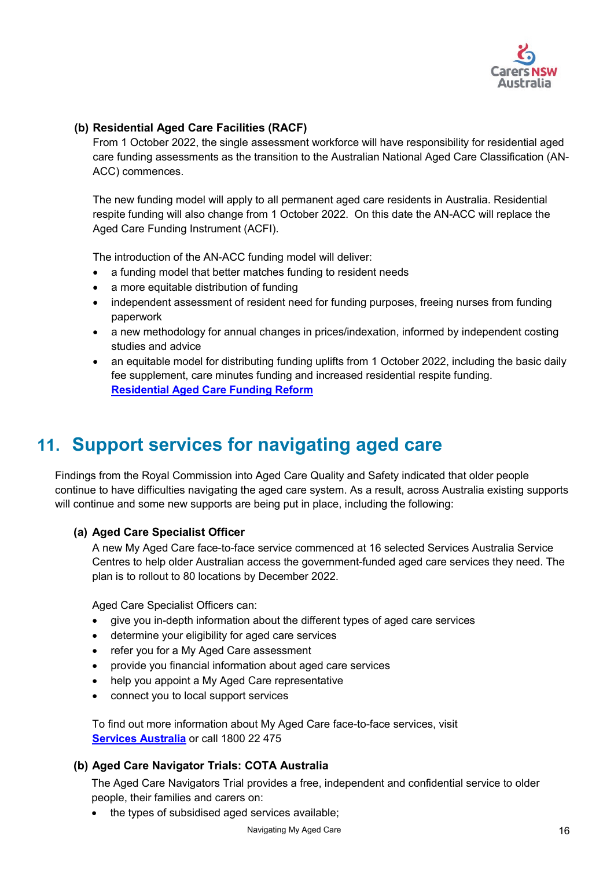

### <span id="page-15-0"></span>**(b) Residential Aged Care Facilities (RACF)**

From 1 October 2022, the single assessment workforce will have responsibility for residential aged care funding assessments as the transition to the Australian National Aged Care Classification (AN-ACC) commences.

The new funding model will apply to all permanent aged care residents in Australia. Residential respite funding will also change from 1 October 2022. On this date the AN-ACC will replace the Aged Care Funding Instrument (ACFI).

The introduction of the AN-ACC funding model will deliver:

- a funding model that better matches funding to resident needs
- a more equitable distribution of funding
- independent assessment of resident need for funding purposes, freeing nurses from funding paperwork
- a new methodology for annual changes in prices/indexation, informed by independent costing studies and advice
- an equitable model for distributing funding uplifts from 1 October 2022, including the basic daily fee supplement, care minutes funding and increased residential respite funding. **[Residential Aged Care Funding Reform](https://www.health.gov.au/health-topics/aged-care/aged-care-reforms-and-reviews/residential-aged-care-funding-reform)**

# <span id="page-15-1"></span>**11. Support services for navigating aged care**

Findings from the Royal Commission into Aged Care Quality and Safety indicated that older people continue to have difficulties navigating the aged care system. As a result, across Australia existing supports will continue and some new supports are being put in place, including the following:

### <span id="page-15-2"></span>**(a) Aged Care Specialist Officer**

A new My Aged Care face-to-face service commenced at 16 selected Services Australia Service Centres to help older Australian access the government-funded aged care services they need. The plan is to rollout to 80 locations by December 2022.

Aged Care Specialist Officers can:

- give you in-depth information about the different types of aged care services
- determine your eligibility for aged care services
- refer you for a My Aged Care assessment
- provide you financial information about aged care services
- help you appoint a My Aged Care representative
- connect you to local support services

To find out more information about My Aged Care face-to-face services, visit **[Services Australia](https://www.servicesaustralia.gov.au/)** or call 1800 22 475

#### <span id="page-15-3"></span>**(b) Aged Care Navigator Trials: COTA Australia**

The Aged Care Navigators Trial provides a free, independent and confidential service to older people, their families and carers on:

• the types of subsidised aged services available;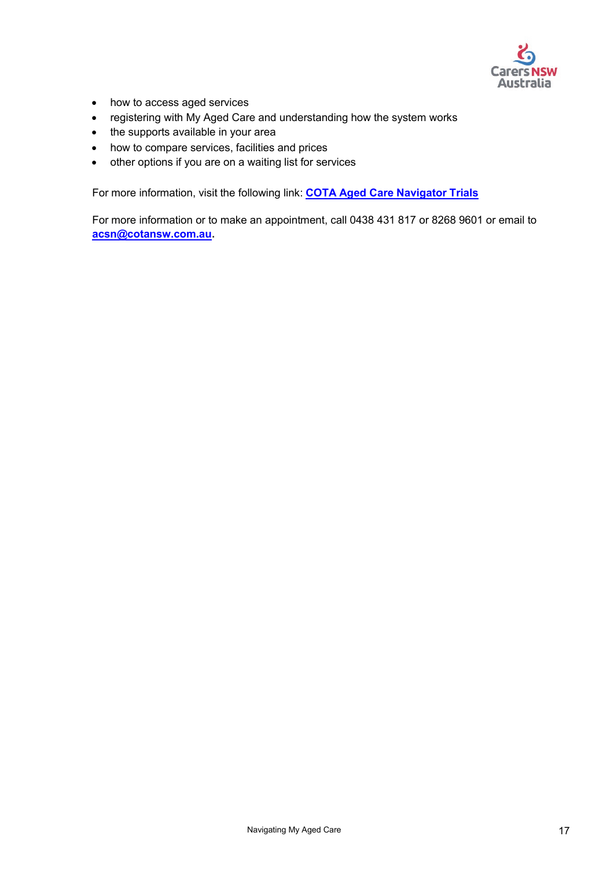

- how to access aged services
- registering with My Aged Care and understanding how the system works
- the supports available in your area
- how to compare services, facilities and prices
- other options if you are on a waiting list for services

For more information, visit the following link: **[COTA Aged Care Navigator Trials](https://www.cotansw.com.au/programs/aged-care-navigator/)** 

<span id="page-16-0"></span>For more information or to make an appointment, call 0438 431 817 or 8268 9601 or email to **[acsn@cotansw.com.au.](mailto:acsn@cotansw.com.au)**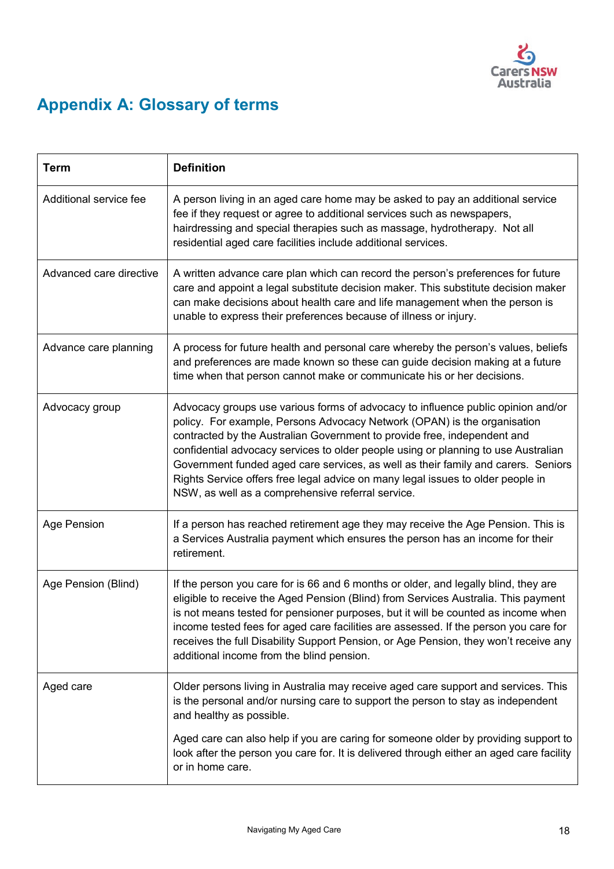

# **Appendix A: Glossary of terms**

| <b>Term</b>             | <b>Definition</b>                                                                                                                                                                                                                                                                                                                                                                                                                                                                                                                                           |
|-------------------------|-------------------------------------------------------------------------------------------------------------------------------------------------------------------------------------------------------------------------------------------------------------------------------------------------------------------------------------------------------------------------------------------------------------------------------------------------------------------------------------------------------------------------------------------------------------|
| Additional service fee  | A person living in an aged care home may be asked to pay an additional service<br>fee if they request or agree to additional services such as newspapers,<br>hairdressing and special therapies such as massage, hydrotherapy. Not all<br>residential aged care facilities include additional services.                                                                                                                                                                                                                                                     |
| Advanced care directive | A written advance care plan which can record the person's preferences for future<br>care and appoint a legal substitute decision maker. This substitute decision maker<br>can make decisions about health care and life management when the person is<br>unable to express their preferences because of illness or injury.                                                                                                                                                                                                                                  |
| Advance care planning   | A process for future health and personal care whereby the person's values, beliefs<br>and preferences are made known so these can guide decision making at a future<br>time when that person cannot make or communicate his or her decisions.                                                                                                                                                                                                                                                                                                               |
| Advocacy group          | Advocacy groups use various forms of advocacy to influence public opinion and/or<br>policy. For example, Persons Advocacy Network (OPAN) is the organisation<br>contracted by the Australian Government to provide free, independent and<br>confidential advocacy services to older people using or planning to use Australian<br>Government funded aged care services, as well as their family and carers. Seniors<br>Rights Service offers free legal advice on many legal issues to older people in<br>NSW, as well as a comprehensive referral service. |
| <b>Age Pension</b>      | If a person has reached retirement age they may receive the Age Pension. This is<br>a Services Australia payment which ensures the person has an income for their<br>retirement.                                                                                                                                                                                                                                                                                                                                                                            |
| Age Pension (Blind)     | If the person you care for is 66 and 6 months or older, and legally blind, they are<br>eligible to receive the Aged Pension (Blind) from Services Australia. This payment<br>is not means tested for pensioner purposes, but it will be counted as income when<br>income tested fees for aged care facilities are assessed. If the person you care for<br>receives the full Disability Support Pension, or Age Pension, they won't receive any<br>additional income from the blind pension.                                                                 |
| Aged care               | Older persons living in Australia may receive aged care support and services. This<br>is the personal and/or nursing care to support the person to stay as independent<br>and healthy as possible.                                                                                                                                                                                                                                                                                                                                                          |
|                         | Aged care can also help if you are caring for someone older by providing support to<br>look after the person you care for. It is delivered through either an aged care facility<br>or in home care.                                                                                                                                                                                                                                                                                                                                                         |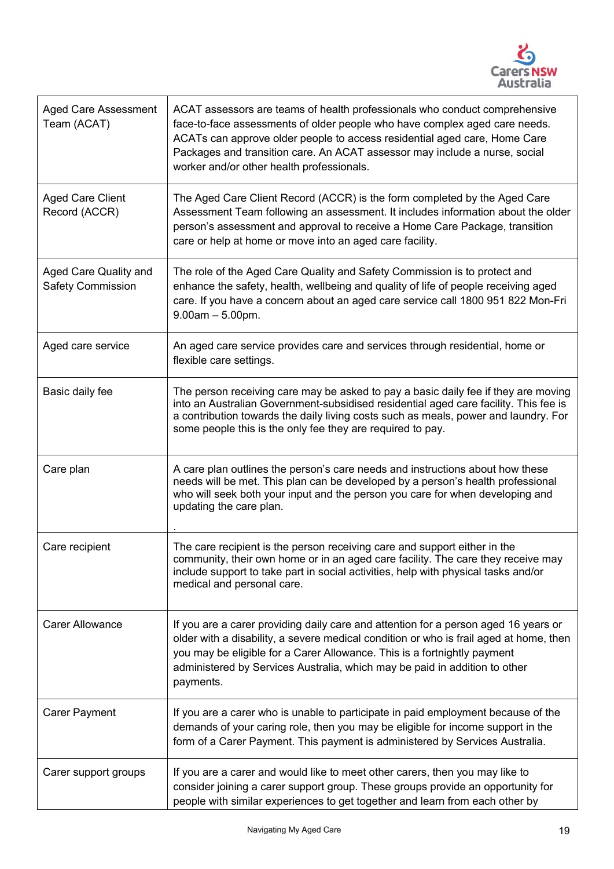

| <b>Aged Care Assessment</b><br>Team (ACAT)        | ACAT assessors are teams of health professionals who conduct comprehensive<br>face-to-face assessments of older people who have complex aged care needs.<br>ACATs can approve older people to access residential aged care, Home Care<br>Packages and transition care. An ACAT assessor may include a nurse, social<br>worker and/or other health professionals. |
|---------------------------------------------------|------------------------------------------------------------------------------------------------------------------------------------------------------------------------------------------------------------------------------------------------------------------------------------------------------------------------------------------------------------------|
| <b>Aged Care Client</b><br>Record (ACCR)          | The Aged Care Client Record (ACCR) is the form completed by the Aged Care<br>Assessment Team following an assessment. It includes information about the older<br>person's assessment and approval to receive a Home Care Package, transition<br>care or help at home or move into an aged care facility.                                                         |
| Aged Care Quality and<br><b>Safety Commission</b> | The role of the Aged Care Quality and Safety Commission is to protect and<br>enhance the safety, health, wellbeing and quality of life of people receiving aged<br>care. If you have a concern about an aged care service call 1800 951 822 Mon-Fri<br>$9.00am - 5.00pm.$                                                                                        |
| Aged care service                                 | An aged care service provides care and services through residential, home or<br>flexible care settings.                                                                                                                                                                                                                                                          |
| Basic daily fee                                   | The person receiving care may be asked to pay a basic daily fee if they are moving<br>into an Australian Government-subsidised residential aged care facility. This fee is<br>a contribution towards the daily living costs such as meals, power and laundry. For<br>some people this is the only fee they are required to pay.                                  |
| Care plan                                         | A care plan outlines the person's care needs and instructions about how these<br>needs will be met. This plan can be developed by a person's health professional<br>who will seek both your input and the person you care for when developing and<br>updating the care plan.                                                                                     |
| Care recipient                                    | The care recipient is the person receiving care and support either in the<br>community, their own home or in an aged care facility. The care they receive may<br>include support to take part in social activities, help with physical tasks and/or<br>medical and personal care.                                                                                |
| <b>Carer Allowance</b>                            | If you are a carer providing daily care and attention for a person aged 16 years or<br>older with a disability, a severe medical condition or who is frail aged at home, then<br>you may be eligible for a Carer Allowance. This is a fortnightly payment<br>administered by Services Australia, which may be paid in addition to other<br>payments.             |
| <b>Carer Payment</b>                              | If you are a carer who is unable to participate in paid employment because of the<br>demands of your caring role, then you may be eligible for income support in the<br>form of a Carer Payment. This payment is administered by Services Australia.                                                                                                             |
| Carer support groups                              | If you are a carer and would like to meet other carers, then you may like to<br>consider joining a carer support group. These groups provide an opportunity for<br>people with similar experiences to get together and learn from each other by                                                                                                                  |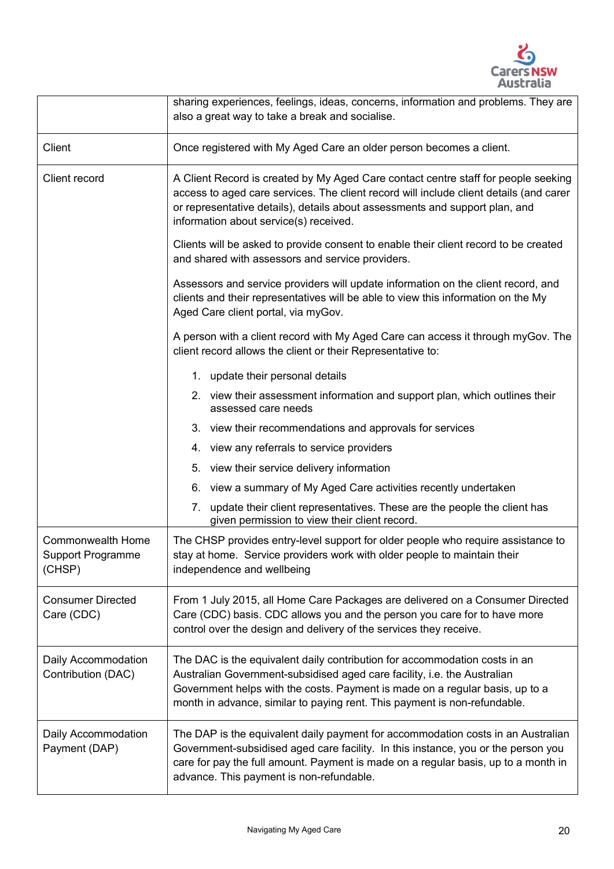

|                                                                | sharing experiences, feelings, ideas, concerns, information and problems. They are<br>also a great way to take a break and socialise.                                                                                                                                                                               |  |
|----------------------------------------------------------------|---------------------------------------------------------------------------------------------------------------------------------------------------------------------------------------------------------------------------------------------------------------------------------------------------------------------|--|
| Client                                                         | Once registered with My Aged Care an older person becomes a client.                                                                                                                                                                                                                                                 |  |
| Client record                                                  | A Client Record is created by My Aged Care contact centre staff for people seeking<br>access to aged care services. The client record will include client details (and carer<br>or representative details), details about assessments and support plan, and<br>information about service(s) received.               |  |
|                                                                | Clients will be asked to provide consent to enable their client record to be created<br>and shared with assessors and service providers.                                                                                                                                                                            |  |
|                                                                | Assessors and service providers will update information on the client record, and<br>clients and their representatives will be able to view this information on the My<br>Aged Care client portal, via myGov.                                                                                                       |  |
|                                                                | A person with a client record with My Aged Care can access it through myGov. The<br>client record allows the client or their Representative to:                                                                                                                                                                     |  |
|                                                                | 1. update their personal details                                                                                                                                                                                                                                                                                    |  |
|                                                                | 2. view their assessment information and support plan, which outlines their<br>assessed care needs                                                                                                                                                                                                                  |  |
|                                                                | 3. view their recommendations and approvals for services                                                                                                                                                                                                                                                            |  |
|                                                                | 4. view any referrals to service providers                                                                                                                                                                                                                                                                          |  |
|                                                                | 5. view their service delivery information                                                                                                                                                                                                                                                                          |  |
|                                                                | 6. view a summary of My Aged Care activities recently undertaken                                                                                                                                                                                                                                                    |  |
|                                                                | update their client representatives. These are the people the client has<br>7.<br>given permission to view their client record.                                                                                                                                                                                     |  |
| <b>Commonwealth Home</b><br><b>Support Programme</b><br>(CHSP) | The CHSP provides entry-level support for older people who require assistance to<br>stay at home. Service providers work with older people to maintain their<br>independence and wellbeing                                                                                                                          |  |
| <b>Consumer Directed</b><br>Care (CDC)                         | From 1 July 2015, all Home Care Packages are delivered on a Consumer Directed<br>Care (CDC) basis. CDC allows you and the person you care for to have more<br>control over the design and delivery of the services they receive.                                                                                    |  |
| Daily Accommodation<br>Contribution (DAC)                      | The DAC is the equivalent daily contribution for accommodation costs in an<br>Australian Government-subsidised aged care facility, i.e. the Australian<br>Government helps with the costs. Payment is made on a regular basis, up to a<br>month in advance, similar to paying rent. This payment is non-refundable. |  |
| Daily Accommodation<br>Payment (DAP)                           | The DAP is the equivalent daily payment for accommodation costs in an Australian<br>Government-subsidised aged care facility. In this instance, you or the person you<br>care for pay the full amount. Payment is made on a regular basis, up to a month in<br>advance. This payment is non-refundable.             |  |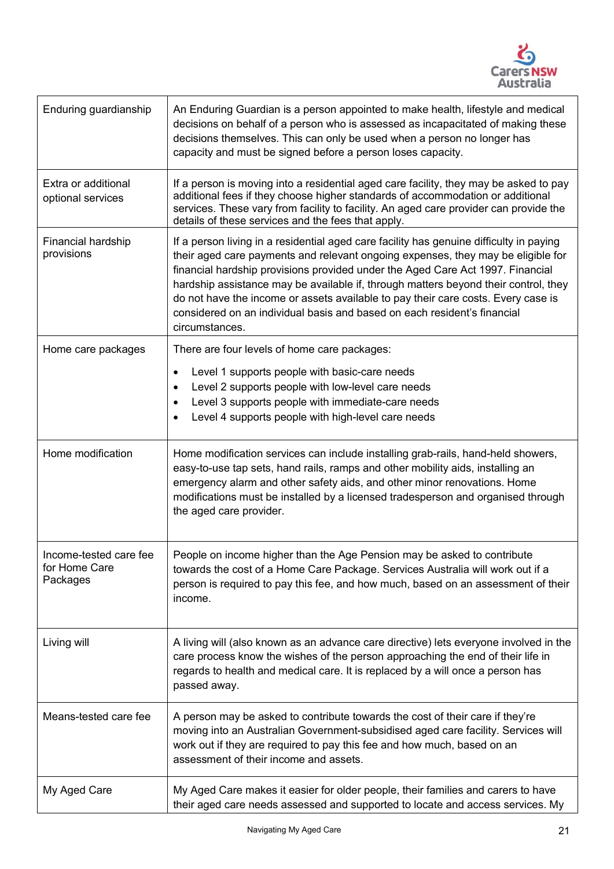

| Enduring guardianship                               | An Enduring Guardian is a person appointed to make health, lifestyle and medical<br>decisions on behalf of a person who is assessed as incapacitated of making these<br>decisions themselves. This can only be used when a person no longer has<br>capacity and must be signed before a person loses capacity.                                                                                                                                                                                                                          |
|-----------------------------------------------------|-----------------------------------------------------------------------------------------------------------------------------------------------------------------------------------------------------------------------------------------------------------------------------------------------------------------------------------------------------------------------------------------------------------------------------------------------------------------------------------------------------------------------------------------|
| Extra or additional<br>optional services            | If a person is moving into a residential aged care facility, they may be asked to pay<br>additional fees if they choose higher standards of accommodation or additional<br>services. These vary from facility to facility. An aged care provider can provide the<br>details of these services and the fees that apply.                                                                                                                                                                                                                  |
| Financial hardship<br>provisions                    | If a person living in a residential aged care facility has genuine difficulty in paying<br>their aged care payments and relevant ongoing expenses, they may be eligible for<br>financial hardship provisions provided under the Aged Care Act 1997. Financial<br>hardship assistance may be available if, through matters beyond their control, they<br>do not have the income or assets available to pay their care costs. Every case is<br>considered on an individual basis and based on each resident's financial<br>circumstances. |
| Home care packages                                  | There are four levels of home care packages:                                                                                                                                                                                                                                                                                                                                                                                                                                                                                            |
|                                                     | Level 1 supports people with basic-care needs<br>$\bullet$<br>Level 2 supports people with low-level care needs<br>Level 3 supports people with immediate-care needs<br>$\bullet$<br>Level 4 supports people with high-level care needs                                                                                                                                                                                                                                                                                                 |
| Home modification                                   | Home modification services can include installing grab-rails, hand-held showers,<br>easy-to-use tap sets, hand rails, ramps and other mobility aids, installing an<br>emergency alarm and other safety aids, and other minor renovations. Home<br>modifications must be installed by a licensed tradesperson and organised through<br>the aged care provider.                                                                                                                                                                           |
| Income-tested care fee<br>for Home Care<br>Packages | People on income higher than the Age Pension may be asked to contribute<br>towards the cost of a Home Care Package. Services Australia will work out if a<br>person is required to pay this fee, and how much, based on an assessment of their<br>income.                                                                                                                                                                                                                                                                               |
| Living will                                         | A living will (also known as an advance care directive) lets everyone involved in the<br>care process know the wishes of the person approaching the end of their life in<br>regards to health and medical care. It is replaced by a will once a person has<br>passed away.                                                                                                                                                                                                                                                              |
| Means-tested care fee                               | A person may be asked to contribute towards the cost of their care if they're<br>moving into an Australian Government-subsidised aged care facility. Services will<br>work out if they are required to pay this fee and how much, based on an<br>assessment of their income and assets.                                                                                                                                                                                                                                                 |
| My Aged Care                                        | My Aged Care makes it easier for older people, their families and carers to have<br>their aged care needs assessed and supported to locate and access services. My                                                                                                                                                                                                                                                                                                                                                                      |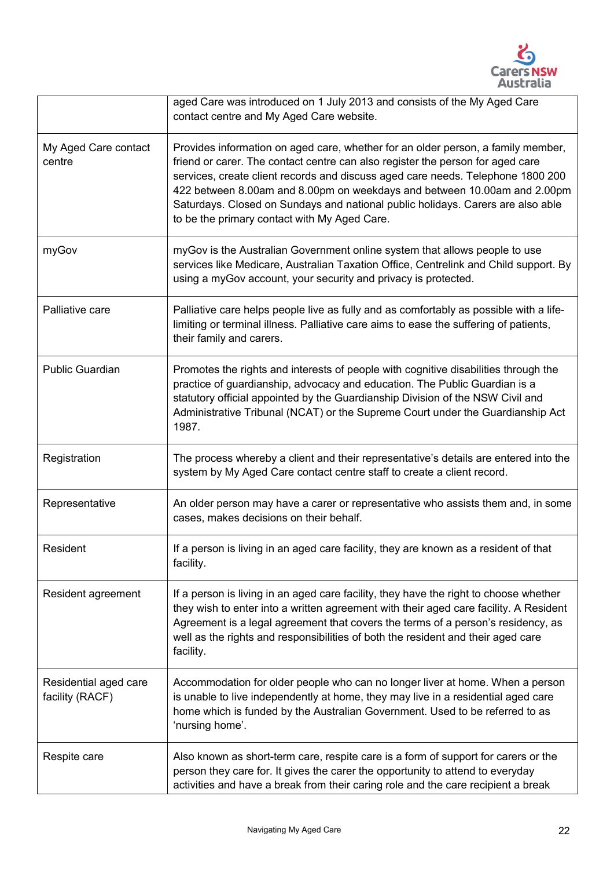

|                                          | aged Care was introduced on 1 July 2013 and consists of the My Aged Care<br>contact centre and My Aged Care website.                                                                                                                                                                                                                                                                                                                                                 |
|------------------------------------------|----------------------------------------------------------------------------------------------------------------------------------------------------------------------------------------------------------------------------------------------------------------------------------------------------------------------------------------------------------------------------------------------------------------------------------------------------------------------|
| My Aged Care contact<br>centre           | Provides information on aged care, whether for an older person, a family member,<br>friend or carer. The contact centre can also register the person for aged care<br>services, create client records and discuss aged care needs. Telephone 1800 200<br>422 between 8.00am and 8.00pm on weekdays and between 10.00am and 2.00pm<br>Saturdays. Closed on Sundays and national public holidays. Carers are also able<br>to be the primary contact with My Aged Care. |
| myGov                                    | myGov is the Australian Government online system that allows people to use<br>services like Medicare, Australian Taxation Office, Centrelink and Child support. By<br>using a myGov account, your security and privacy is protected.                                                                                                                                                                                                                                 |
| Palliative care                          | Palliative care helps people live as fully and as comfortably as possible with a life-<br>limiting or terminal illness. Palliative care aims to ease the suffering of patients,<br>their family and carers.                                                                                                                                                                                                                                                          |
| <b>Public Guardian</b>                   | Promotes the rights and interests of people with cognitive disabilities through the<br>practice of guardianship, advocacy and education. The Public Guardian is a<br>statutory official appointed by the Guardianship Division of the NSW Civil and<br>Administrative Tribunal (NCAT) or the Supreme Court under the Guardianship Act<br>1987.                                                                                                                       |
| Registration                             | The process whereby a client and their representative's details are entered into the<br>system by My Aged Care contact centre staff to create a client record.                                                                                                                                                                                                                                                                                                       |
| Representative                           | An older person may have a carer or representative who assists them and, in some<br>cases, makes decisions on their behalf.                                                                                                                                                                                                                                                                                                                                          |
| Resident                                 | If a person is living in an aged care facility, they are known as a resident of that<br>facility.                                                                                                                                                                                                                                                                                                                                                                    |
| Resident agreement                       | If a person is living in an aged care facility, they have the right to choose whether<br>they wish to enter into a written agreement with their aged care facility. A Resident<br>Agreement is a legal agreement that covers the terms of a person's residency, as<br>well as the rights and responsibilities of both the resident and their aged care<br>facility.                                                                                                  |
| Residential aged care<br>facility (RACF) | Accommodation for older people who can no longer liver at home. When a person<br>is unable to live independently at home, they may live in a residential aged care<br>home which is funded by the Australian Government. Used to be referred to as<br>'nursing home'.                                                                                                                                                                                                |
| Respite care                             | Also known as short-term care, respite care is a form of support for carers or the<br>person they care for. It gives the carer the opportunity to attend to everyday<br>activities and have a break from their caring role and the care recipient a break                                                                                                                                                                                                            |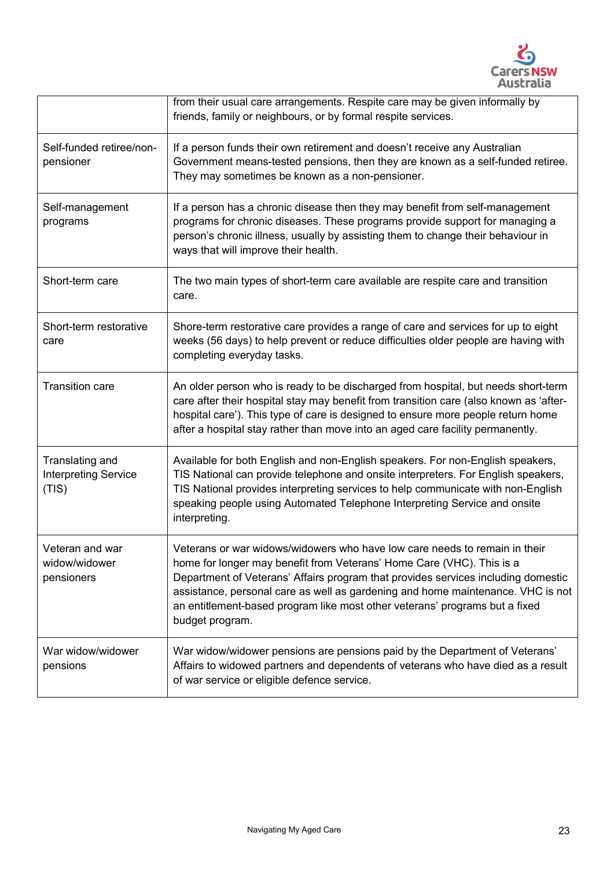

|                                                         | from their usual care arrangements. Respite care may be given informally by<br>friends, family or neighbours, or by formal respite services.                                                                                                                                                                                                                                                                                  |
|---------------------------------------------------------|-------------------------------------------------------------------------------------------------------------------------------------------------------------------------------------------------------------------------------------------------------------------------------------------------------------------------------------------------------------------------------------------------------------------------------|
| Self-funded retiree/non-<br>pensioner                   | If a person funds their own retirement and doesn't receive any Australian<br>Government means-tested pensions, then they are known as a self-funded retiree.<br>They may sometimes be known as a non-pensioner.                                                                                                                                                                                                               |
| Self-management<br>programs                             | If a person has a chronic disease then they may benefit from self-management<br>programs for chronic diseases. These programs provide support for managing a<br>person's chronic illness, usually by assisting them to change their behaviour in<br>ways that will improve their health.                                                                                                                                      |
| Short-term care                                         | The two main types of short-term care available are respite care and transition<br>care.                                                                                                                                                                                                                                                                                                                                      |
| Short-term restorative<br>care                          | Shore-term restorative care provides a range of care and services for up to eight<br>weeks (56 days) to help prevent or reduce difficulties older people are having with<br>completing everyday tasks.                                                                                                                                                                                                                        |
| <b>Transition care</b>                                  | An older person who is ready to be discharged from hospital, but needs short-term<br>care after their hospital stay may benefit from transition care (also known as 'after-<br>hospital care'). This type of care is designed to ensure more people return home<br>after a hospital stay rather than move into an aged care facility permanently.                                                                             |
| Translating and<br><b>Interpreting Service</b><br>(TIS) | Available for both English and non-English speakers. For non-English speakers,<br>TIS National can provide telephone and onsite interpreters. For English speakers,<br>TIS National provides interpreting services to help communicate with non-English<br>speaking people using Automated Telephone Interpreting Service and onsite<br>interpreting.                                                                         |
| Veteran and war<br>widow/widower<br>pensioners          | Veterans or war widows/widowers who have low care needs to remain in their<br>home for longer may benefit from Veterans' Home Care (VHC). This is a<br>Department of Veterans' Affairs program that provides services including domestic<br>assistance, personal care as well as gardening and home maintenance. VHC is not<br>an entitlement-based program like most other veterans' programs but a fixed<br>budget program. |
| War widow/widower<br>pensions                           | War widow/widower pensions are pensions paid by the Department of Veterans'<br>Affairs to widowed partners and dependents of veterans who have died as a result<br>of war service or eligible defence service.                                                                                                                                                                                                                |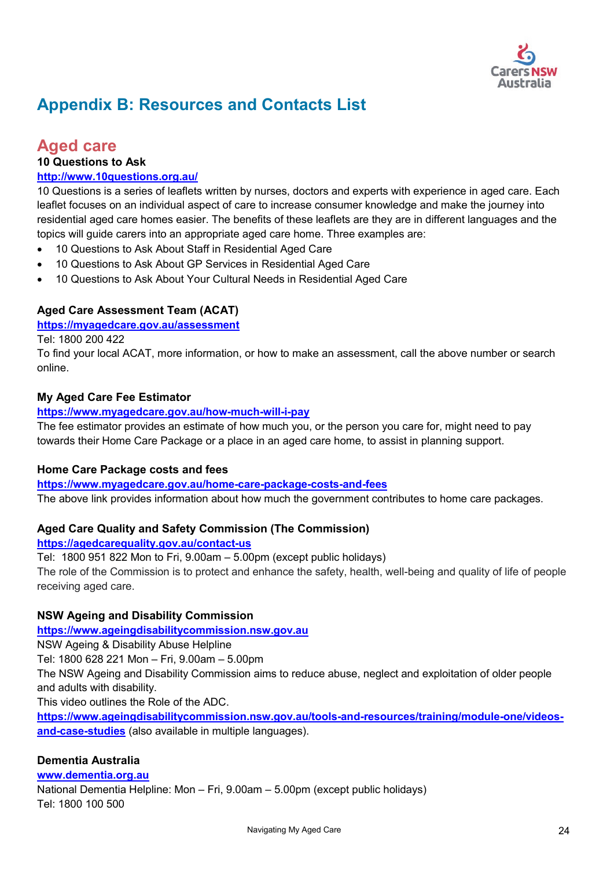

# <span id="page-23-0"></span>**Appendix B: Resources and Contacts List**

## **Aged care**

**10 Questions to Ask** 

### **<http://www.10questions.org.au/>**

10 Questions is a series of leaflets written by nurses, doctors and experts with experience in aged care. Each leaflet focuses on an individual aspect of care to increase consumer knowledge and make the journey into residential aged care homes easier. The benefits of these leaflets are they are in different languages and the topics will guide carers into an appropriate aged care home. Three examples are:

- 10 Questions to Ask About Staff in Residential Aged Care
- 10 Questions to Ask About GP Services in Residential Aged Care
- 10 Questions to Ask About Your Cultural Needs in Residential Aged Care

### **Aged Care Assessment Team (ACAT)**

**<https://myagedcare.gov.au/assessment>**

Tel: 1800 200 422

To find your local ACAT, more information, or how to make an assessment, call the above number or search online.

### **My Aged Care Fee Estimator**

#### **<https://www.myagedcare.gov.au/how-much-will-i-pay>**

The fee estimator provides an estimate of how much you, or the person you care for, might need to pay towards their Home Care Package or a place in an aged care home, to assist in planning support.

### **Home Care Package costs and fees**

**<https://www.myagedcare.gov.au/home-care-package-costs-and-fees>**

The above link provides information about how much the government contributes to home care packages.

### **Aged Care Quality and Safety Commission (The Commission)**

#### **<https://agedcarequality.gov.au/contact-us>**

Tel: 1800 951 822 Mon to Fri, 9.00am – 5.00pm (except public holidays) The role of the Commission is to protect and enhance the safety, health, well-being and quality of life of people receiving aged care.

### **NSW Ageing and Disability Commission**

**[https://www.ageingdisabilitycommission.nsw.gov.au](https://www.ageingdisabilitycommission.nsw.gov.au/)**

NSW Ageing & Disability Abuse Helpline

Tel: 1800 628 221 Mon – Fri, 9.00am – 5.00pm

The NSW Ageing and Disability Commission aims to reduce abuse, neglect and exploitation of older people and adults with disability.

This video outlines the Role of the ADC.

**[https://www.ageingdisabilitycommission.nsw.gov.au/tools-and-resources/training/module-one/videos](https://www.ageingdisabilitycommission.nsw.gov.au/tools-and-resources/training/module-one/videos-and-case-studies)[and-case-studies](https://www.ageingdisabilitycommission.nsw.gov.au/tools-and-resources/training/module-one/videos-and-case-studies)** (also available in multiple languages).

### **Dementia Australia**

#### **[www.dementia.org.au](http://www.dementia.org.au/)**

National Dementia Helpline: Mon – Fri, 9.00am – 5.00pm (except public holidays) Tel: 1800 100 500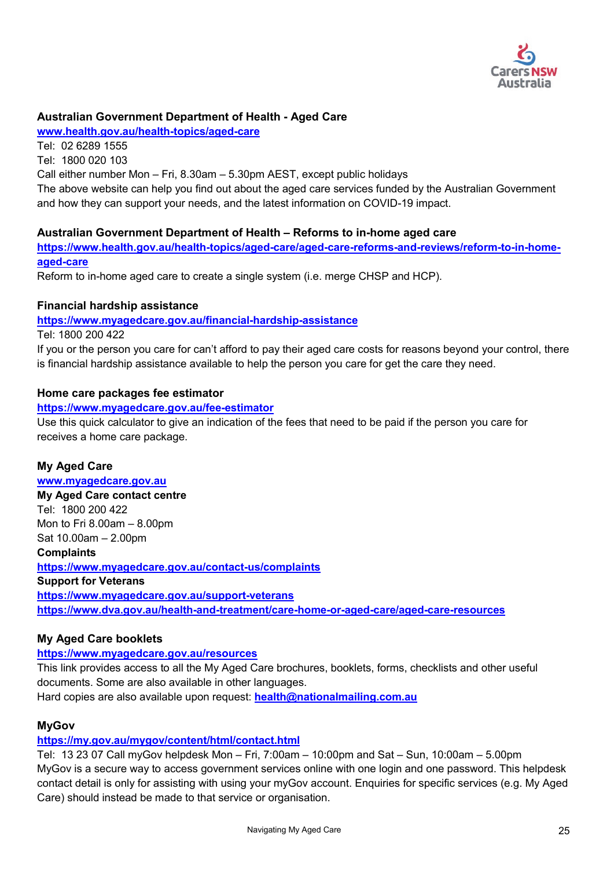

### **Australian Government Department of Health - Aged Care**

**[www.health.gov.au/health-topics/aged-care](http://www.health.gov.au/health-topics/aged-care)**

Tel: 02 6289 1555 Tel: 1800 020 103 Call either number Mon – Fri, 8.30am – 5.30pm AEST, except public holidays The above website can help you find out about the aged care services funded by the Australian Government and how they can support your needs, and the latest information on COVID-19 impact.

### **Australian Government Department of Health – Reforms to in-home aged care**

**[https://www.health.gov.au/health-topics/aged-care/aged-care-reforms-and-reviews/reform-to-in-home](https://www.health.gov.au/health-topics/aged-care/aged-care-reforms-and-reviews/reform-to-in-home-aged-care)[aged-care](https://www.health.gov.au/health-topics/aged-care/aged-care-reforms-and-reviews/reform-to-in-home-aged-care)** 

Reform to in-home aged care to create a single system (i.e. merge CHSP and HCP).

### **Financial hardship assistance**

**<https://www.myagedcare.gov.au/financial-hardship-assistance>**

Tel: 1800 200 422

If you or the person you care for can't afford to pay their aged care costs for reasons beyond your control, there is financial hardship assistance available to help the person you care for get the care they need.

#### **Home care packages fee estimator**

#### **<https://www.myagedcare.gov.au/fee-estimator>**

Use this quick calculator to give an indication of the fees that need to be paid if the person you care for receives a home care package.

### **My Aged Care**

### **[www.myagedcare.gov.au](http://www.myagedcare.gov.au/)**

**My Aged Care contact centre** Tel: 1800 200 422 Mon to Fri 8.00am – 8.00pm Sat 10.00am – 2.00pm

#### **Complaints**

**<https://www.myagedcare.gov.au/contact-us/complaints> Support for Veterans <https://www.myagedcare.gov.au/support-veterans> <https://www.dva.gov.au/health-and-treatment/care-home-or-aged-care/aged-care-resources>**

### **My Aged Care booklets**

**<https://www.myagedcare.gov.au/resources>**

This link provides access to all the My Aged Care brochures, booklets, forms, checklists and other useful documents. Some are also available in other languages. Hard copies are also available upon request: **[health@nationalmailing.com.au](mailto:health@nationalmailing.com.au)**

#### **MyGov**

### **<https://my.gov.au/mygov/content/html/contact.html>**

Tel: 13 23 07 Call myGov helpdesk Mon – Fri, 7:00am – 10:00pm and Sat – Sun, 10:00am – 5.00pm MyGov is a secure way to access government services online with one login and one password. This helpdesk contact detail is only for assisting with using your myGov account. Enquiries for specific services (e.g. My Aged Care) should instead be made to that service or organisation.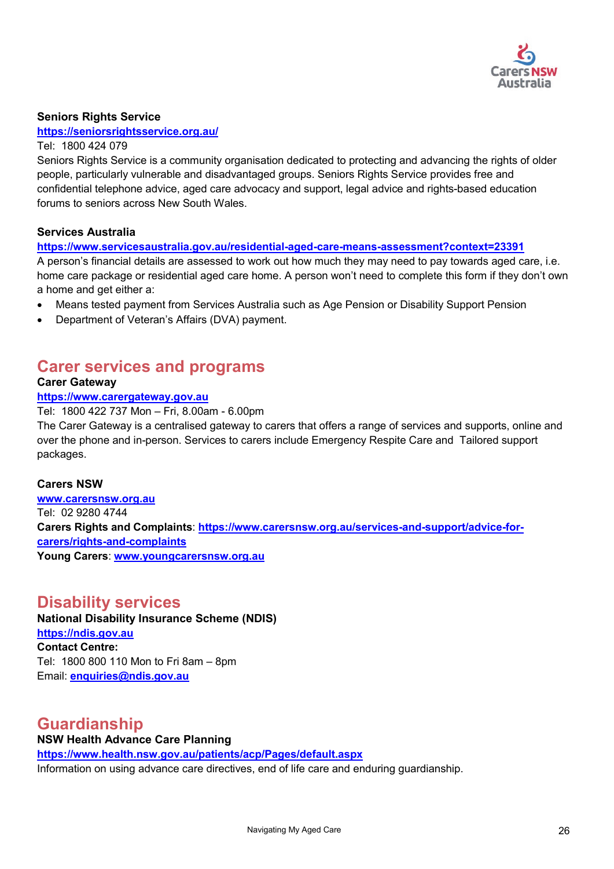

### **Seniors Rights Service**

#### **<https://seniorsrightsservice.org.au/>**

#### Tel: 1800 424 079

Seniors Rights Service is a community organisation dedicated to protecting and advancing the rights of older people, particularly vulnerable and disadvantaged groups. Seniors Rights Service provides free and confidential telephone advice, aged care advocacy and support, legal advice and rights-based education forums to seniors across New South Wales.

#### **Services Australia**

#### **<https://www.servicesaustralia.gov.au/residential-aged-care-means-assessment?context=23391>**

A person's financial details are assessed to work out how much they may need to pay towards aged care, i.e. home care package or residential aged care home. A person won't need to complete this form if they don't own a home and get either a:

- Means tested payment from Services Australia such as Age Pension or Disability Support Pension
- Department of Veteran's Affairs (DVA) payment.

# **Carer services and programs**

#### **Carer Gateway**

#### **[https://www.carergateway.gov.au](https://www.carergateway.gov.au/)**

Tel: 1800 422 737 Mon – Fri, 8.00am - 6.00pm

The Carer Gateway is a centralised gateway to carers that offers a range of services and supports, online and over the phone and in-person. Services to carers include Emergency Respite Care and Tailored support packages.

#### **Carers NSW**

**[www.carersnsw.org.au](http://www.carersnsw.org.au/)** Tel: 02 9280 4744 **Carers Rights and Complaints**: **[https://www.carersnsw.org.au/services-and-support/advice-for](https://www.carersnsw.org.au/services-and-support/advice-for-carers/rights-and-complaints)[carers/rights-and-complaints](https://www.carersnsw.org.au/services-and-support/advice-for-carers/rights-and-complaints)  Young Carers**: **[www.youngcarersnsw.org.au](http://www.youngcarersnsw.org.au/)**

## **Disability services**

**National Disability Insurance Scheme (NDIS) [https://ndis.gov.au](https://ndis.gov.au/)  Contact Centre:**

Tel: 1800 800 110 Mon to Fri 8am – 8pm Email: **[enquiries@ndis.gov.au](mailto:enquiries@ndis.gov.au)**

# **Guardianship**

### **NSW Health Advance Care Planning <https://www.health.nsw.gov.au/patients/acp/Pages/default.aspx>** Information on using advance care directives, end of life care and enduring guardianship.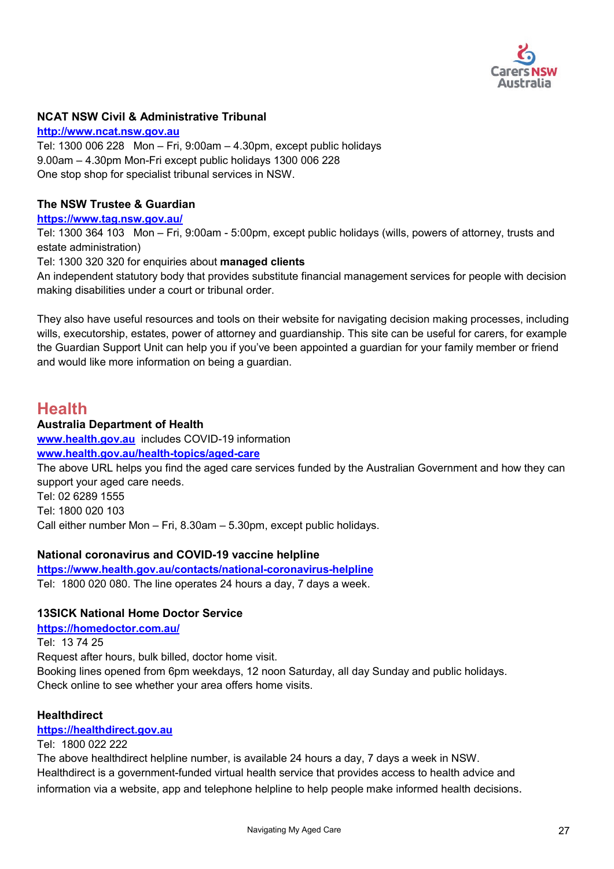

### **NCAT NSW Civil & Administrative Tribunal**

**[http://www.ncat.nsw.gov.au](http://www.ncat.nsw.gov.au/)** Tel: [1300](tel:1300) 006 228 Mon – Fri, 9:00am – 4.30pm, except public holidays 9.00am – 4.30pm Mon-Fri except public holidays 1300 006 228 One stop shop for specialist tribunal services in NSW.

#### **The NSW Trustee & Guardian**

**<https://www.tag.nsw.gov.au/>**

Tel: 1300 364 103 Mon – Fri, 9:00am - 5:00pm, except public holidays (wills, powers of attorney, trusts and estate administration)

Tel: 1300 320 320 for enquiries about **managed clients**

An independent statutory body that provides substitute financial management services for people with decision making disabilities under a court or tribunal order.

They also have useful resources and tools on their website for navigating decision making processes, including wills, executorship, estates, power of attorney and guardianship. This site can be useful for carers, for example the Guardian Support Unit can help you if you've been appointed a guardian for your family member or friend and would like more information on being a guardian.

## **Health**

#### **Australia Department of Health**

**[www.health.gov.au](http://www.health.gov.au/)** includes COVID-19 information

**[www.health.gov.au/health-topics/aged-care](http://www.health.gov.au/health-topics/aged-care)**

The above URL helps you find the aged care services funded by the Australian Government and how they can support your aged care needs. Tel: 02 6289 1555

Tel: 1800 020 103

Call either number Mon – Fri, 8.30am – 5.30pm, except public holidays.

#### **National coronavirus and COVID-19 vaccine helpline**

**<https://www.health.gov.au/contacts/national-coronavirus-helpline>** Tel: 1800 020 080. The line operates 24 hours a day, 7 days a week.

#### **13SICK National Home Doctor Service**

**<https://homedoctor.com.au/>**

Tel: 13 74 25

Request after hours, bulk billed, doctor home visit.

Booking lines opened from 6pm weekdays, 12 noon Saturday, all day Sunday and public holidays. Check online to see whether your area offers home visits.

#### **Healthdirect**

#### **[https://healthdirect.gov.au](https://healthdirect.gov.au/)**

#### Tel: 1800 022 222

The above healthdirect helpline number, is available 24 hours a day, 7 days a week in NSW. Healthdirect is a government-funded virtual health service that provides access to health advice and information via a website, app and telephone helpline to help people make informed health decisions.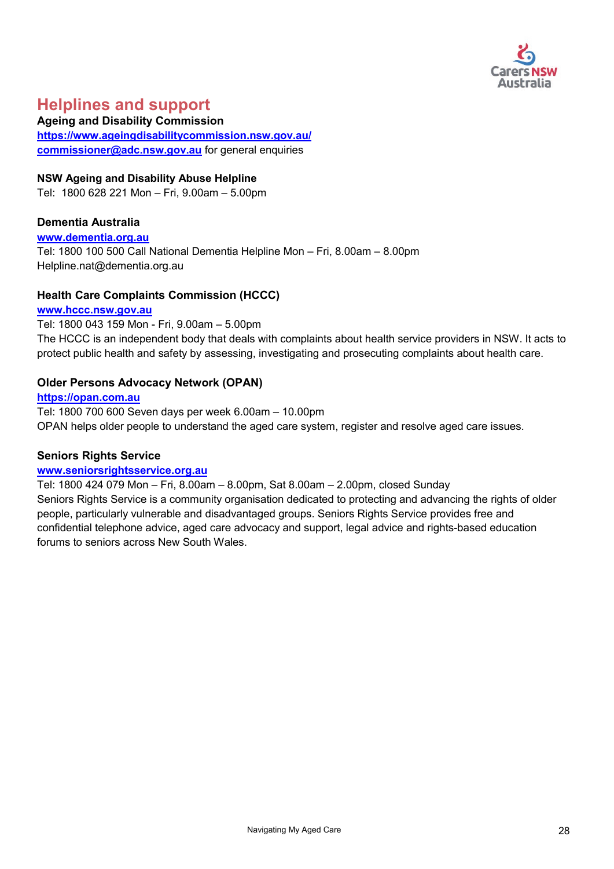

# **Helplines and support**

**Ageing and Disability Commission <https://www.ageingdisabilitycommission.nsw.gov.au/> [commissioner@adc.nsw.gov.au](mailto:commissioner@adc.nsw.gov.au)** for general enquiries

#### **NSW Ageing and Disability Abuse Helpline**

Tel: 1800 628 221 Mon – Fri, 9.00am – 5.00pm

#### **Dementia Australia**

#### **[www.dementia.org.au](http://www.dementia.org.au/)**

Tel: 1800 100 500 Call National Dementia Helpline Mon – Fri, 8.00am – 8.00pm Helpline.nat@dementia.org.au

#### **Health Care Complaints Commission (HCCC)**

### **[www.hccc.nsw.gov.au](http://www.hccc.nsw.gov.au/)**

Tel: 1800 043 159 Mon - Fri, 9.00am – 5.00pm

The HCCC is an independent body that deals with complaints about health service providers in NSW. It acts to protect public health and safety by assessing, investigating and prosecuting complaints about health care.

#### **Older Persons Advocacy Network (OPAN)**

**[https://opan.com.au](https://opan.com.au/)**  Tel: 1800 700 600 Seven days per week 6.00am – 10.00pm OPAN helps older people to understand the aged care system, register and resolve aged care issues.

#### **Seniors Rights Service**

#### **[www.seniorsrightsservice.org.au](http://www.seniorsrightsservice.org.au/)**

Tel: 1800 424 079 Mon – Fri, 8.00am – 8.00pm, Sat 8.00am – 2.00pm, closed Sunday Seniors Rights Service is a community organisation dedicated to protecting and advancing the rights of older people, particularly vulnerable and disadvantaged groups. Seniors Rights Service provides free and confidential telephone advice, aged care advocacy and support, legal advice and rights-based education forums to seniors across New South Wales.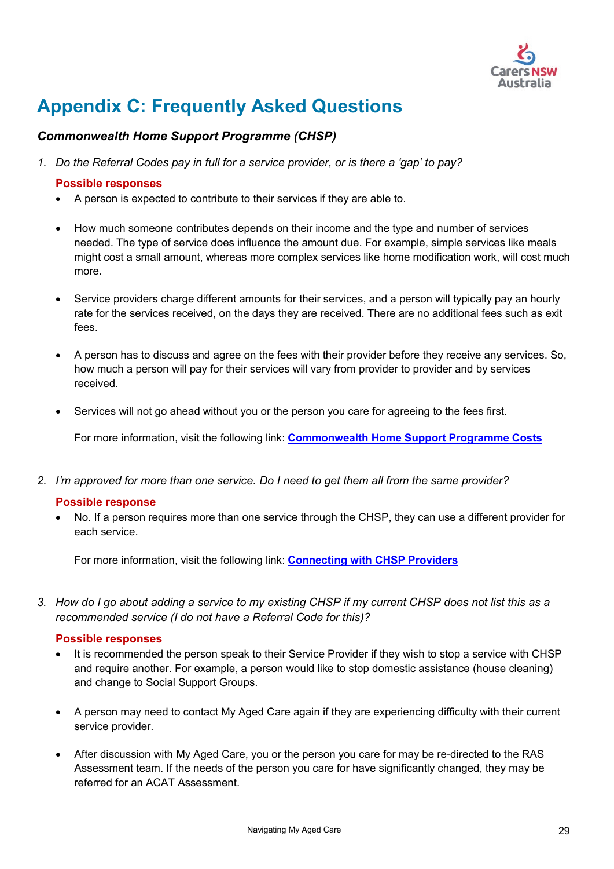

# <span id="page-28-0"></span>**Appendix C: Frequently Asked Questions**

## *Commonwealth Home Support Programme (CHSP)*

*1. Do the Referral Codes pay in full for a service provider, or is there a 'gap' to pay?*

#### **Possible responses**

- A person is expected to contribute to their services if they are able to.
- How much someone contributes depends on their income and the type and number of services needed. The type of service does influence the amount due. For example, simple services like meals might cost a small amount, whereas more complex services like home modification work, will cost much more.
- Service providers charge different amounts for their services, and a person will typically pay an hourly rate for the services received, on the days they are received. There are no additional fees such as exit fees.
- A person has to discuss and agree on the fees with their provider before they receive any services. So, how much a person will pay for their services will vary from provider to provider and by services received.
- Services will not go ahead without you or the person you care for agreeing to the fees first.

For more information, visit the following link: **[Commonwealth Home Support Programme Costs](https://www.myagedcare.gov.au/commonwealth-home-support-programme-costs#how-much-will-i-pay)** 

*2. I'm approved for more than one service. Do I need to get them all from the same provider?*

#### **Possible response**

• No. If a person requires more than one service through the CHSP, they can use a different provider for each service.

For more information, visit the following link: **[Connecting with CHSP Providers](https://www.myagedcare.gov.au/connect-commonwealth-home-support-programme-providers)**

*3. How do I go about adding a service to my existing CHSP if my current CHSP does not list this as a recommended service (I do not have a Referral Code for this)?*

- It is recommended the person speak to their Service Provider if they wish to stop a service with CHSP and require another. For example, a person would like to stop domestic assistance (house cleaning) and change to Social Support Groups.
- A person may need to contact My Aged Care again if they are experiencing difficulty with their current service provider.
- After discussion with My Aged Care, you or the person you care for may be re-directed to the RAS Assessment team. If the needs of the person you care for have significantly changed, they may be referred for an ACAT Assessment.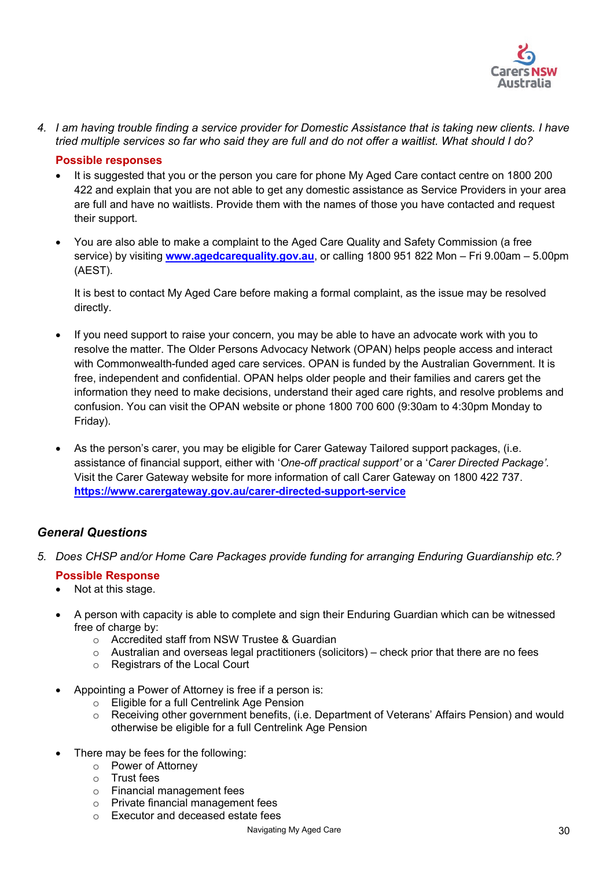

*4. I am having trouble finding a service provider for Domestic Assistance that is taking new clients. I have tried multiple services so far who said they are full and do not offer a waitlist. What should I do?*

#### **Possible responses**

- It is suggested that you or the person you care for phone My Aged Care contact centre on 1800 200 422 and explain that you are not able to get any domestic assistance as Service Providers in your area are full and have no waitlists. Provide them with the names of those you have contacted and request their support.
- You are also able to make a complaint to the Aged Care Quality and Safety Commission (a free service) by visiting **[www.agedcarequality.gov.au](http://www.agedcarequality.gov.au/)**, or calling 1800 951 822 Mon – Fri 9.00am – 5.00pm (AEST).

It is best to contact My Aged Care before making a formal complaint, as the issue may be resolved directly.

- If you need support to raise your concern, you may be able to have an advocate work with you to resolve the matter. The Older Persons Advocacy Network (OPAN) helps people access and interact with Commonwealth-funded aged care services. OPAN is funded by the Australian Government. It is free, independent and confidential. OPAN helps older people and their families and carers get the information they need to make decisions, understand their aged care rights, and resolve problems and confusion. You can visit the OPAN website or phone 1800 700 600 (9:30am to 4:30pm Monday to Friday).
- As the person's carer, you may be eligible for Carer Gateway Tailored support packages, (i.e. assistance of financial support, either with '*One-off practical support'* or a '*Carer Directed Package'*. Visit the Carer Gateway website for more information of call Carer Gateway on 1800 422 737. **<https://www.carergateway.gov.au/carer-directed-support-service>**

### *General Questions*

*5. Does CHSP and/or Home Care Packages provide funding for arranging Enduring Guardianship etc.?*

- Not at this stage.
- A person with capacity is able to complete and sign their Enduring Guardian which can be witnessed free of charge by:
	- o Accredited staff from NSW Trustee & Guardian
	- $\circ$  Australian and overseas legal practitioners (solicitors) check prior that there are no fees
	- o Registrars of the Local Court
- Appointing a Power of Attorney is free if a person is:
	- Eligible for a full Centrelink Age Pension<br>○ Receiving other government benefits, (i.e
	- Receiving other government benefits, (i.e. Department of Veterans' Affairs Pension) and would otherwise be eligible for a full Centrelink Age Pension
- There may be fees for the following:
	- o Power of Attorney
	- o Trust fees
	- o Financial management fees
	- o Private financial management fees
	- o Executor and deceased estate fees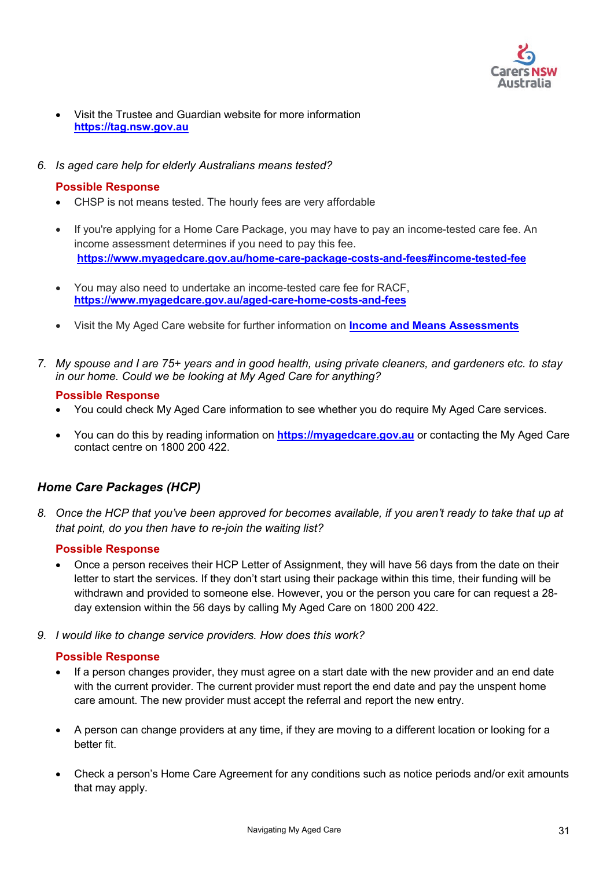

- Visit the Trustee and Guardian website for more information **[https://tag.nsw.gov.au](https://tag.nsw.gov.au/)**
- *6. Is aged care help for elderly Australians means tested?*

### **Possible Response**

- CHSP is not means tested. The hourly fees are very affordable
- If you're applying for a Home Care Package, you may have to pay an income-tested care fee. An income assessment determines if you need to pay this fee. **<https://www.myagedcare.gov.au/home-care-package-costs-and-fees#income-tested-fee>**
- You may also need to undertake an income-tested care fee for RACF, **<https://www.myagedcare.gov.au/aged-care-home-costs-and-fees>**
- Visit the My Aged Care website for further information on **[Income and Means Assessments](https://www.myagedcare.gov.au/income-and-means-assessments/)**
- *7. My spouse and I are 75+ years and in good health, using private cleaners, and gardeners etc. to stay in our home. Could we be looking at My Aged Care for anything?*

### **Possible Response**

- You could check My Aged Care information to see whether you do require My Aged Care services.
- You can do this by reading information on **[https://myagedcare.gov.au](https://myagedcare.gov.au/)** or contacting the My Aged Care contact centre on 1800 200 422.

## *Home Care Packages (HCP)*

*8. Once the HCP that you've been approved for becomes available, if you aren't ready to take that up at that point, do you then have to re-join the waiting list?*

### **Possible Response**

- Once a person receives their HCP Letter of Assignment, they will have 56 days from the date on their letter to start the services. If they don't start using their package within this time, their funding will be withdrawn and provided to someone else. However, you or the person you care for can request a 28 day extension within the 56 days by calling My Aged Care on 1800 200 422.
- *9. I would like to change service providers. How does this work?*

- If a person changes provider, they must agree on a start date with the new provider and an end date with the current provider. The current provider must report the end date and pay the unspent home care amount. The new provider must accept the referral and report the new entry.
- A person can change providers at any time, if they are moving to a different location or looking for a better fit.
- Check a person's Home Care Agreement for any conditions such as notice periods and/or exit amounts that may apply.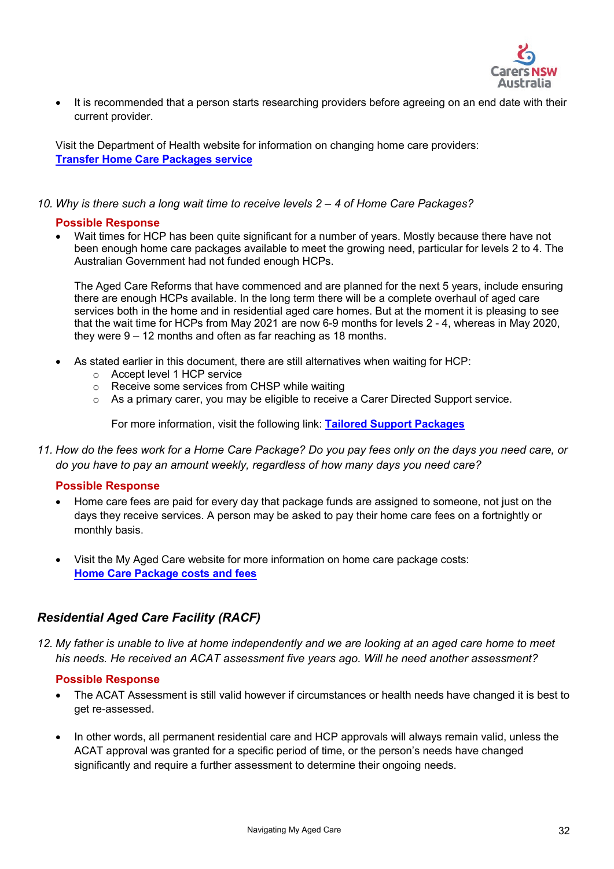

• It is recommended that a person starts researching providers before agreeing on an end date with their current provider.

Visit the Department of Health website for information on changing home care providers: **[Transfer Home Care Packages service](https://www.health.gov.au/initiatives-and-programs/home-care-packages-program/managing-home-care-packages/transferring-home-care-packages-services)** 

*10. Why is there such a long wait time to receive levels 2 – 4 of Home Care Packages?*

#### **Possible Response**

• Wait times for HCP has been quite significant for a number of years. Mostly because there have not been enough home care packages available to meet the growing need, particular for levels 2 to 4. The Australian Government had not funded enough HCPs.

The Aged Care Reforms that have commenced and are planned for the next 5 years, include ensuring there are enough HCPs available. In the long term there will be a complete overhaul of aged care services both in the home and in residential aged care homes. But at the moment it is pleasing to see that the wait time for HCPs from May 2021 are now 6-9 months for levels 2 - 4, whereas in May 2020, they were 9 – 12 months and often as far reaching as 18 months.

- As stated earlier in this document, there are still alternatives when waiting for HCP:
	- o Accept level 1 HCP service
	- o Receive some services from CHSP while waiting
	- $\circ$  As a primary carer, you may be eligible to receive a Carer Directed Support service.

For more information, visit the following link: **[Tailored Support](https://www.carergateway.gov.au/carer-directed-support-service) Packages** 

*11. How do the fees work for a Home Care Package? Do you pay fees only on the days you need care, or do you have to pay an amount weekly, regardless of how many days you need care?*

### **Possible Response**

- Home care fees are paid for every day that package funds are assigned to someone, not just on the days they receive services. A person may be asked to pay their home care fees on a fortnightly or monthly basis.
- Visit the My Aged Care website for more information on home care package costs: **[Home Care Package costs and fees](https://www.myagedcare.gov.au/home-care-package-costs-and-fees)**

### *Residential Aged Care Facility (RACF)*

*12. My father is unable to live at home independently and we are looking at an aged care home to meet his needs. He received an ACAT assessment five years ago. Will he need another assessment?*

- The ACAT Assessment is still valid however if circumstances or health needs have changed it is best to get re-assessed.
- In other words, all permanent residential care and HCP approvals will always remain valid, unless the ACAT approval was granted for a specific period of time, or the person's needs have changed significantly and require a further assessment to determine their ongoing needs.